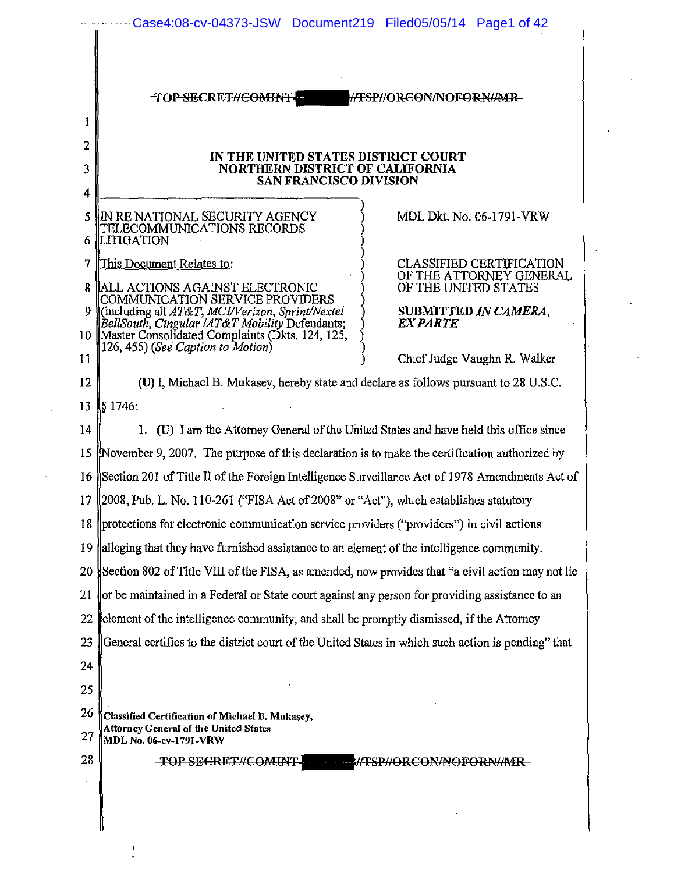| TOPSECRET//COMINT- //TSP//ORCON/NOFORN/AAR-                                                                                                                                                 |                                                                                    |
|---------------------------------------------------------------------------------------------------------------------------------------------------------------------------------------------|------------------------------------------------------------------------------------|
|                                                                                                                                                                                             |                                                                                    |
| IN THE UNITED STATES DISTRICT COURT<br>NORTHERN DISTRICT OF CALIFORNIA                                                                                                                      |                                                                                    |
| SAN FRANCISCO DIVISION                                                                                                                                                                      |                                                                                    |
| IN RE NATIONAL SECURITY AGENCY<br>TELECOMMUNICATIONS RECORDS<br><b>ILITIGATION</b>                                                                                                          | MDL Dkt. No. 06-1791-VRW                                                           |
| This Document Relates to:<br><b>IALL ACTIONS AGAINST ELECTRONIC</b>                                                                                                                         | <b>CLASSIFIED CERTIFICATION</b><br>OF THE ATTORNEY GENERAL<br>OF THE UNITED STATES |
| COMMUNICATION SERVICE PROVIDERS<br>(including all AT&T, MCI/Verizon, Sprint/Nextel<br> BellSouth, Cingular /AT&T Mobility Defendants;<br>10 Master Consolidated Complaints (Dkts. 124, 125, | SUBMITTED IN CAMERA,<br><i><b>EX PARTE</b></i>                                     |
| 126, 455) (See Caption to Motion)                                                                                                                                                           | Chief Judge Vaughn R. Walker                                                       |
| (U) I, Michael B. Mukasey, hereby state and declare as follows pursuant to 28 U.S.C.                                                                                                        |                                                                                    |
| IS 1746:                                                                                                                                                                                    |                                                                                    |
| 1. (U) I am the Attorney General of the United States and have held this office since                                                                                                       |                                                                                    |
| November 9, 2007. The purpose of this declaration is to make the certification authorized by                                                                                                |                                                                                    |
| 16 Section 201 of Title II of the Foreign Intelligence Surveillance Act of 1978 Amendments Act of                                                                                           |                                                                                    |
| 17 (2008, Pub. L. No. 110-261 ("FISA Act of 2008" or "Act"), which establishes statutory                                                                                                    |                                                                                    |
| 18 protections for electronic communication service providers ("providers") in civil actions                                                                                                |                                                                                    |
| alleging that they have furnished assistance to an element of the intelligence community.                                                                                                   |                                                                                    |
| Section 802 of Title VIII of the FISA, as amended, now provides that "a civil action may not lie                                                                                            |                                                                                    |
| or be maintained in a Federal or State court against any person for providing assistance to an                                                                                              |                                                                                    |
| element of the intelligence community, and shall be promptly dismissed, if the Attorney                                                                                                     |                                                                                    |
| General certifies to the district court of the United States in which such action is pending" that                                                                                          |                                                                                    |
|                                                                                                                                                                                             |                                                                                    |
|                                                                                                                                                                                             |                                                                                    |
| Classified Certification of Michael B. Mukasey,<br><b>Attorney General of the United States</b><br>MDL No. 06-cv-1791-VRW                                                                   |                                                                                    |
| <b>TOP SECRET//COMINT.</b>                                                                                                                                                                  | <b>MATSP//ORCON/NOFORN//MR-</b>                                                    |

 $\frac{1}{\epsilon}$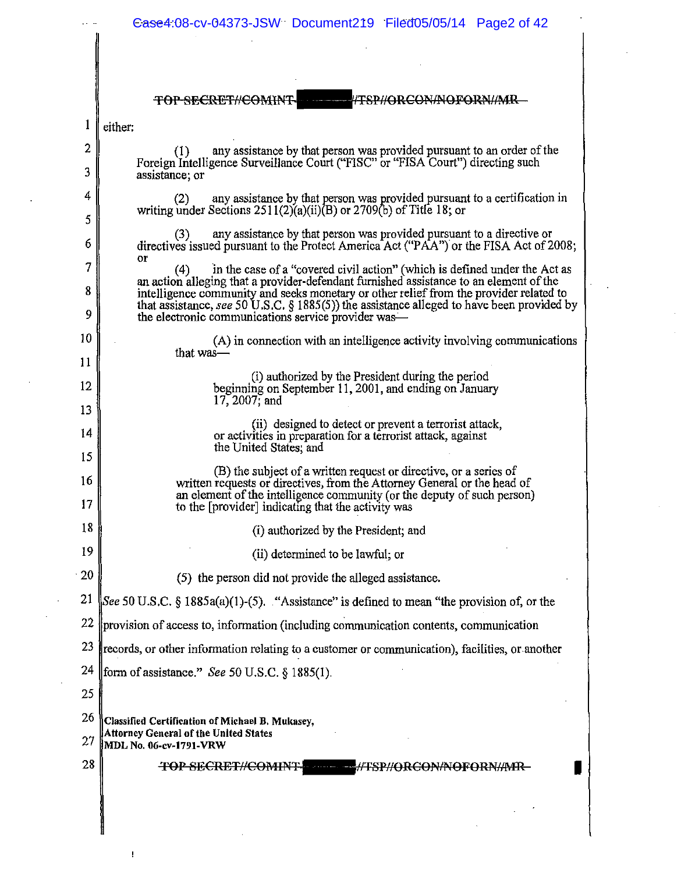| //TRP//QRCON/NOFORN//MR<br>TOP SECRET#COMINT<br>either:<br>any assistance by that person was provided pursuant to an order of the<br>(1)<br>Foreign Intelligence Surveillance Court ("FISC" or "FISA Court") directing such<br>assistance; or<br>any assistance by that person was provided pursuant to a certification in<br>(2)<br>writing under Sections $2511(2)(a)(ii)(B)$ or $2709(b)$ of Title 18; or<br>any assistance by that person was provided pursuant to a directive or<br>(3)<br>directives issued pursuant to the Protect America Act ("PAA") or the FISA Act of 2008;<br>or<br>in the case of a "covered civil action" (which is defined under the Act as<br>(4)<br>an action alleging that a provider-defendant furnished assistance to an element of the<br>intelligence community and seeks monetary or other relief from the provider related to<br>that assistance, see 50 U.S.C. $\S$ 1885(5)) the assistance alleged to have been provided by<br>the electronic communications service provider was—<br>(A) in connection with an intelligence activity involving communications |
|----------------------------------------------------------------------------------------------------------------------------------------------------------------------------------------------------------------------------------------------------------------------------------------------------------------------------------------------------------------------------------------------------------------------------------------------------------------------------------------------------------------------------------------------------------------------------------------------------------------------------------------------------------------------------------------------------------------------------------------------------------------------------------------------------------------------------------------------------------------------------------------------------------------------------------------------------------------------------------------------------------------------------------------------------------------------------------------------------------|
|                                                                                                                                                                                                                                                                                                                                                                                                                                                                                                                                                                                                                                                                                                                                                                                                                                                                                                                                                                                                                                                                                                          |
|                                                                                                                                                                                                                                                                                                                                                                                                                                                                                                                                                                                                                                                                                                                                                                                                                                                                                                                                                                                                                                                                                                          |
|                                                                                                                                                                                                                                                                                                                                                                                                                                                                                                                                                                                                                                                                                                                                                                                                                                                                                                                                                                                                                                                                                                          |
|                                                                                                                                                                                                                                                                                                                                                                                                                                                                                                                                                                                                                                                                                                                                                                                                                                                                                                                                                                                                                                                                                                          |
|                                                                                                                                                                                                                                                                                                                                                                                                                                                                                                                                                                                                                                                                                                                                                                                                                                                                                                                                                                                                                                                                                                          |
|                                                                                                                                                                                                                                                                                                                                                                                                                                                                                                                                                                                                                                                                                                                                                                                                                                                                                                                                                                                                                                                                                                          |
|                                                                                                                                                                                                                                                                                                                                                                                                                                                                                                                                                                                                                                                                                                                                                                                                                                                                                                                                                                                                                                                                                                          |
|                                                                                                                                                                                                                                                                                                                                                                                                                                                                                                                                                                                                                                                                                                                                                                                                                                                                                                                                                                                                                                                                                                          |
|                                                                                                                                                                                                                                                                                                                                                                                                                                                                                                                                                                                                                                                                                                                                                                                                                                                                                                                                                                                                                                                                                                          |
|                                                                                                                                                                                                                                                                                                                                                                                                                                                                                                                                                                                                                                                                                                                                                                                                                                                                                                                                                                                                                                                                                                          |
| that was $-$                                                                                                                                                                                                                                                                                                                                                                                                                                                                                                                                                                                                                                                                                                                                                                                                                                                                                                                                                                                                                                                                                             |
| (i) authorized by the President during the period                                                                                                                                                                                                                                                                                                                                                                                                                                                                                                                                                                                                                                                                                                                                                                                                                                                                                                                                                                                                                                                        |
| beginning on September 11, 2001, and ending on January<br>$17,2007$ ; and                                                                                                                                                                                                                                                                                                                                                                                                                                                                                                                                                                                                                                                                                                                                                                                                                                                                                                                                                                                                                                |
| (ii) designed to detect or prevent a terrorist attack,                                                                                                                                                                                                                                                                                                                                                                                                                                                                                                                                                                                                                                                                                                                                                                                                                                                                                                                                                                                                                                                   |
| or activities in preparation for a terrorist attack, against<br>the United States, and                                                                                                                                                                                                                                                                                                                                                                                                                                                                                                                                                                                                                                                                                                                                                                                                                                                                                                                                                                                                                   |
| (B) the subject of a written request or directive, or a series of                                                                                                                                                                                                                                                                                                                                                                                                                                                                                                                                                                                                                                                                                                                                                                                                                                                                                                                                                                                                                                        |
| written requests or directives, from the Attorney General or the head of<br>an element of the intelligence community (or the deputy of such person)<br>to the [provider] indicating that the activity was                                                                                                                                                                                                                                                                                                                                                                                                                                                                                                                                                                                                                                                                                                                                                                                                                                                                                                |
| (i) authorized by the President; and                                                                                                                                                                                                                                                                                                                                                                                                                                                                                                                                                                                                                                                                                                                                                                                                                                                                                                                                                                                                                                                                     |
| (ii) determined to be lawful; or                                                                                                                                                                                                                                                                                                                                                                                                                                                                                                                                                                                                                                                                                                                                                                                                                                                                                                                                                                                                                                                                         |
| (5) the person did not provide the alleged assistance.                                                                                                                                                                                                                                                                                                                                                                                                                                                                                                                                                                                                                                                                                                                                                                                                                                                                                                                                                                                                                                                   |
| See 50 U.S.C. § 1885a(a)(1)-(5). "Assistance" is defined to mean "the provision of, or the                                                                                                                                                                                                                                                                                                                                                                                                                                                                                                                                                                                                                                                                                                                                                                                                                                                                                                                                                                                                               |
| provision of access to, information (including communication contents, communication                                                                                                                                                                                                                                                                                                                                                                                                                                                                                                                                                                                                                                                                                                                                                                                                                                                                                                                                                                                                                     |
| records, or other information relating to a customer or communication), facilities, or another                                                                                                                                                                                                                                                                                                                                                                                                                                                                                                                                                                                                                                                                                                                                                                                                                                                                                                                                                                                                           |
| form of assistance." See 50 U.S.C. $\S$ 1885(1).                                                                                                                                                                                                                                                                                                                                                                                                                                                                                                                                                                                                                                                                                                                                                                                                                                                                                                                                                                                                                                                         |
|                                                                                                                                                                                                                                                                                                                                                                                                                                                                                                                                                                                                                                                                                                                                                                                                                                                                                                                                                                                                                                                                                                          |
|                                                                                                                                                                                                                                                                                                                                                                                                                                                                                                                                                                                                                                                                                                                                                                                                                                                                                                                                                                                                                                                                                                          |
| Classified Certification of Michael B. Mukasey,<br>Attorney General of the United States<br>MDL No. 06-cv-1791-VRW                                                                                                                                                                                                                                                                                                                                                                                                                                                                                                                                                                                                                                                                                                                                                                                                                                                                                                                                                                                       |
|                                                                                                                                                                                                                                                                                                                                                                                                                                                                                                                                                                                                                                                                                                                                                                                                                                                                                                                                                                                                                                                                                                          |

 $\ddot{\phantom{0}}$ 

 $\bar{1}$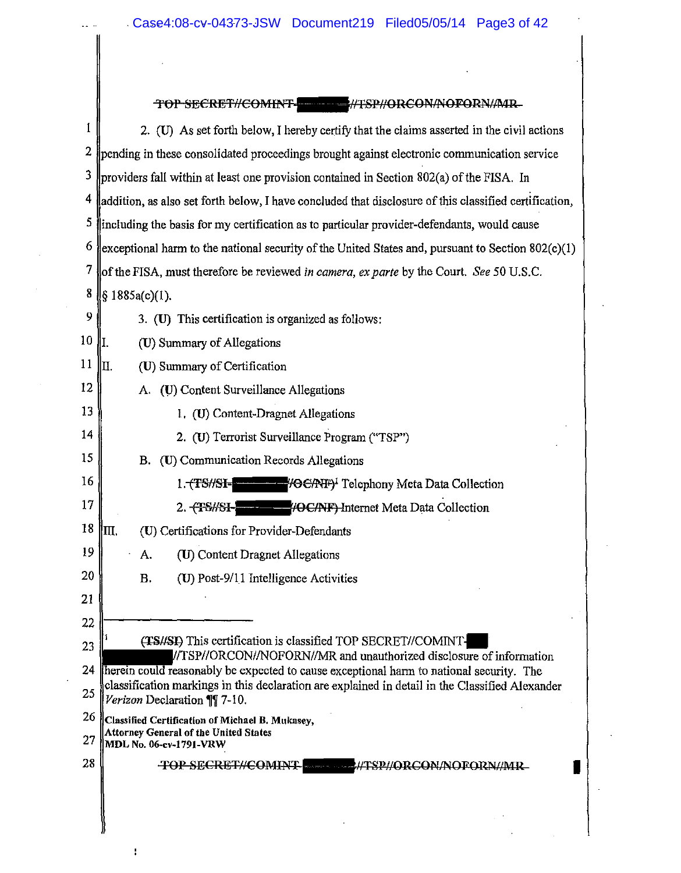$\mathbb{R}^2$ 

 $\Delta$ 

 $\mathbf{I}$ 

### TOP SECRET//COMINT -4TSP//ORCON/NOFORN/MR

| 1              | 2. (U) As set forth below, I hereby certify that the claims asserted in the civil actions                                                                                                  |
|----------------|--------------------------------------------------------------------------------------------------------------------------------------------------------------------------------------------|
| $\overline{2}$ | pending in these consolidated proceedings brought against electronic communication service                                                                                                 |
| 3              | providers fall within at least one provision contained in Section 802(a) of the FISA. In                                                                                                   |
| 4              | addition, as also set forth below, I have concluded that disclosure of this classified certification,                                                                                      |
| 5              | including the basis for my certification as to particular provider-defendants, would cause                                                                                                 |
| 6              | exceptional harm to the national security of the United States and, pursuant to Section $802(c)(1)$                                                                                        |
| 7              | of the FISA, must therefore be reviewed in camera, ex parte by the Court. See 50 U.S.C.                                                                                                    |
| 8              | § 1885a(c)(1).                                                                                                                                                                             |
| 9              | 3. (U) This certification is organized as follows:                                                                                                                                         |
| 10             | I.<br>(U) Summary of Allegations                                                                                                                                                           |
| 11             | П.<br>(U) Summary of Certification                                                                                                                                                         |
| 12             | A. (U) Content Surveillance Allegations                                                                                                                                                    |
| 13             | 1. (U) Content-Dragnet Allegations                                                                                                                                                         |
| 14             | 2. (U) Terrorist Surveillance Program ("TSP")                                                                                                                                              |
| 15             | B. (U) Communication Records Allegations                                                                                                                                                   |
| 16             | 1. TS#SI-                                                                                                                                                                                  |
| 17             | <b>//OC/NF)</b> Internet Meta Data Collection<br>2. <b>TS/SE</b>                                                                                                                           |
| 18             | Ш.<br>(U) Certifications for Provider-Defendants                                                                                                                                           |
| 19             | (U) Content Dragnet Allegations<br>A.                                                                                                                                                      |
| 20             | <b>B.</b><br>(U) Post-9/11 Intelligence Activities                                                                                                                                         |
| 21             |                                                                                                                                                                                            |
| 22             |                                                                                                                                                                                            |
| 23             | (TS//SI) This certification is classified TOP SECRET//COMINT-<br>//TSP//ORCON//NOFORN//MR and unauthorized disclosure of information                                                       |
| 24             | herein could reasonably be expected to cause exceptional harm to national security. The<br>classification markings in this declaration are explained in detail in the Classified Alexander |
| 25             | Verizon Declaration ¶ 7-10.                                                                                                                                                                |
| 26             | Classified Certification of Michael B. Mukasey,<br><b>Attorney General of the United States</b>                                                                                            |
| 27             | MDL No. 06-cv-1791-VRW                                                                                                                                                                     |
| 28             | <b>TOP SECRET//COMINT-</b><br>SP#ORCON#OFORN#MR<br>as a <del>co</del> rrelation of the                                                                                                     |
|                |                                                                                                                                                                                            |
|                |                                                                                                                                                                                            |
|                |                                                                                                                                                                                            |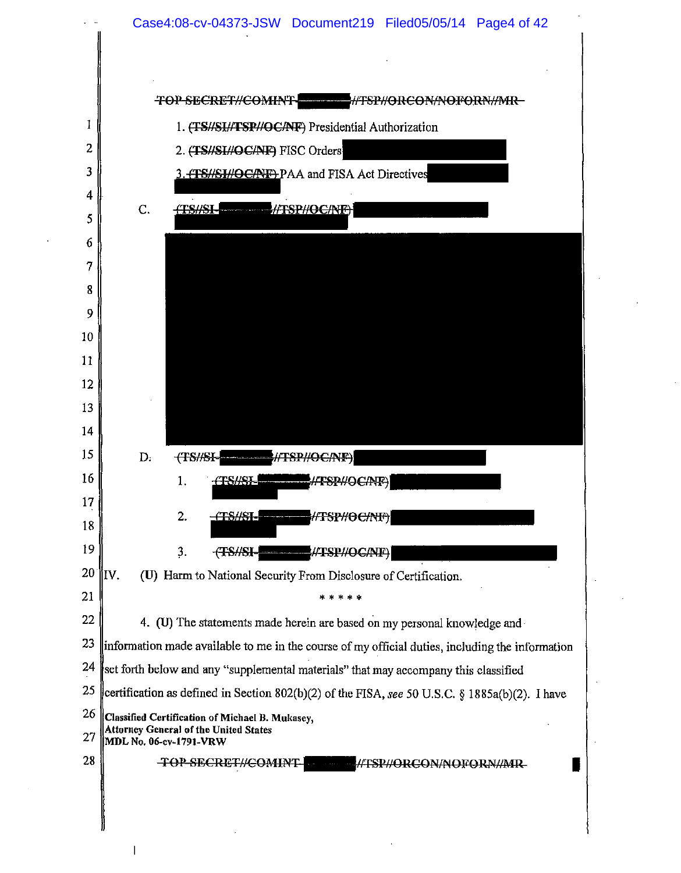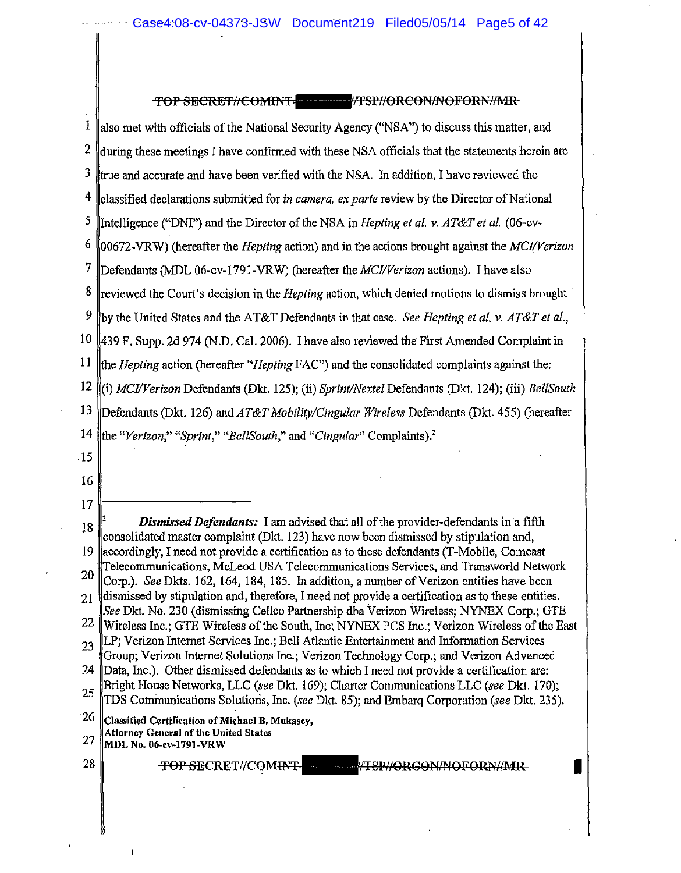#### TOP SECRET//COMINT TWO TEST//ORCON/NOFORN/MR

| ı  | also met with officials of the National Security Agency ("NSA") to discuss this matter, and                                                                                           |
|----|---------------------------------------------------------------------------------------------------------------------------------------------------------------------------------------|
| 2  | during these meetings I have confirmed with these NSA officials that the statements herein are                                                                                        |
| 3  | true and accurate and have been verified with the NSA. In addition, I have reviewed the                                                                                               |
| 4  | classified declarations submitted for in camera, ex parte review by the Director of National                                                                                          |
| 5  | Intelligence ("DNI") and the Director of the NSA in <i>Hepting et al. v. AT&amp;T et al.</i> (06-cv-                                                                                  |
| 6  | $[00672$ -VRW) (hereafter the <i>Hepting</i> action) and in the actions brought against the <i>MCI/Verizon</i>                                                                        |
| 7  | Defendants (MDL 06-cv-1791-VRW) (hereafter the <i>MCI/Verizon</i> actions). I have also                                                                                               |
| 8  | reviewed the Court's decision in the <i>Hepting</i> action, which denied motions to dismiss brought                                                                                   |
| 9  | by the United States and the AT&T Defendants in that case. See Hepting et al. v. AT&T et al.,                                                                                         |
| 10 | 439 F. Supp. 2d 974 (N.D. Cal. 2006). I have also reviewed the First Amended Complaint in                                                                                             |
| 11 | the <i>Hepting</i> action (hereafter " <i>Hepting</i> FAC") and the consolidated complaints against the:                                                                              |
| 12 | (i) MCI/Verizon Defendants (Dkt. 125); (ii) Sprint/Nextel Defendants (Dkt. 124); (iii) BellSouth                                                                                      |
| 13 | Defendants (Dkt. 126) and AT&T Mobility/Cingular Wireless Defendants (Dkt. 455) (hereafter                                                                                            |
| 14 | the "Verizon," "Sprint," "BellSouth," and "Cingular" Complaints).                                                                                                                     |
| 15 |                                                                                                                                                                                       |
| 16 |                                                                                                                                                                                       |
| 17 |                                                                                                                                                                                       |
| 18 | <b>Dismissed Defendants:</b> I am advised that all of the provider-defendants in a fifth<br>consolidated master complaint (Dkt. 123) have now been dismissed by stipulation and,      |
| 19 | accordingly, I need not provide a certification as to these defendants (T-Mobile, Comcast                                                                                             |
| 20 | Telecommunications, McLeod USA Telecommunications Services, and Transworld Network<br>Corp.). See Dkts. 162, 164, 184, 185. In addition, a number of Verizon entities have been       |
| 21 | dismissed by stipulation and, therefore, I need not provide a certification as to these entities.                                                                                     |
| 22 | See Dkt. No. 230 (dismissing Cellco Partnership dba Verizon Wireless; NYNEX Corp.; GTE<br>Wireless Inc.; GTE Wireless of the South, Inc; NYNEX PCS Inc.; Verizon Wireless of the East |
| 23 | LP; Verizon Internet Services Inc.; Bell Atlantic Entertainment and Information Services                                                                                              |
| 24 | Group; Verizon Internet Solutions Inc.; Verizon Technology Corp.; and Verizon Advanced<br>Data, Inc.). Other dismissed defendants as to which I need not provide a certification are: |
| 25 | Bright House Networks, LLC (see Dkt. 169); Charter Communications LLC (see Dkt. 170);<br>TDS Communications Solutions, Inc. (see Dkt. 85); and Embarq Corporation (see Dkt. 235).     |

 $26$   $\,$  Classified Certification of Michael B, Mukasey,

27 Attorney General of the United States<br>  $27$  MDL No. 06-cv-1791-VRW

28 TOP SECRET//COMINT - TERMORCON/NOFORN//MR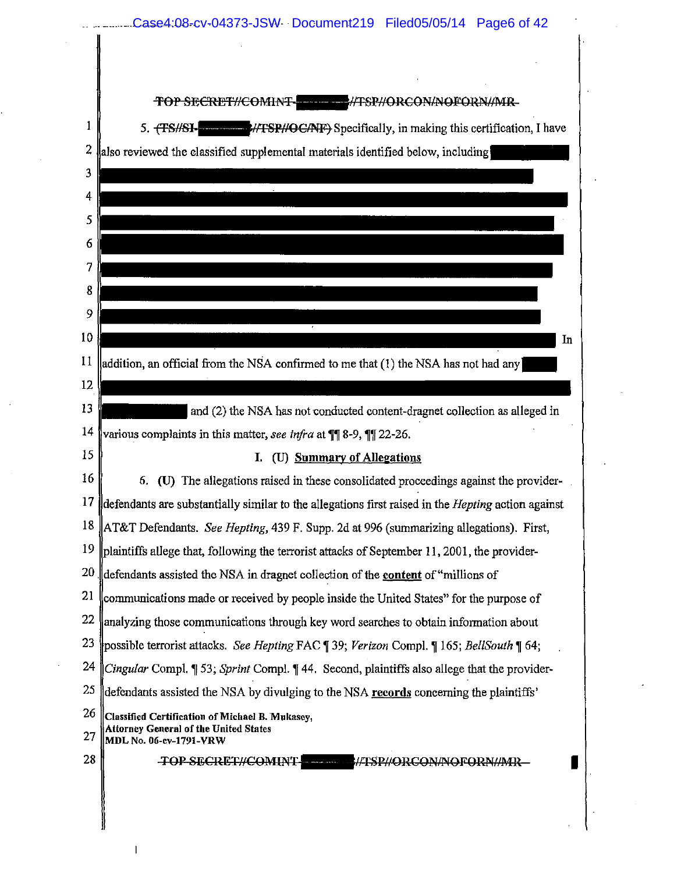Case4:08-cv-04373-JSW Document219 Filed05/05/14 Page6 of 42

|                 | <del>TOP SECRET//COMINT-</del><br>#TSP#ORCON#NOFORN#MR                                                    |
|-----------------|-----------------------------------------------------------------------------------------------------------|
| 1               | 5. THE MOVE MATHAEPHO CANE Specifically, in making this certification, I have                             |
| 2               | also reviewed the classified supplemental materials identified below, including                           |
| 3               |                                                                                                           |
| 4               |                                                                                                           |
| 5               |                                                                                                           |
| 6               |                                                                                                           |
| 7               |                                                                                                           |
| 8               |                                                                                                           |
| 9               |                                                                                                           |
| 10              | In                                                                                                        |
| 11              | addition, an official from the NSA confirmed to me that (1) the NSA has not had any                       |
| 12              |                                                                                                           |
| 13              | and (2) the NSA has not conducted content-dragnet collection as alleged in                                |
| $\frac{1}{4}$   | various complaints in this matter, see infra at ¶¶ 8-9, ¶¶ 22-26.                                         |
| 15              | (U) Summary of Allegations<br>Ι.                                                                          |
| 16              | 6. (U) The allegations raised in these consolidated proceedings against the provider-                     |
| 17              | defendants are substantially similar to the allegations first raised in the <i>Hepting</i> action against |
| 18              | AT&T Defendants. See Hepting, 439 F. Supp. 2d at 996 (summarizing allegations). First,                    |
| 19              | plaintiffs allege that, following the terrorist attacks of September 11, 2001, the provider-              |
| 20 <sub>1</sub> | defendants assisted the NSA in dragnet collection of the content of "millions of"                         |
| 21              | communications made or received by people inside the United States" for the purpose of                    |
| 22              | analyzing those communications through key word searches to obtain information about                      |
| 23              | possible terrorist attacks. See Hepting FAC [39; Verizon Compl. [165; BellSouth [64;                      |
| 24              | Cingular Compl. ¶ 53; Sprint Compl. ¶ 44. Second, plaintiffs also allege that the provider-               |
| 25              | defendants assisted the NSA by divulging to the NSA records concerning the plaintiffs'                    |
| 26              | Classified Certification of Michael B. Mukasey,<br><b>Attorney General of the United States</b>           |
| 27              | MDL No. 06-ev-1791-VRW                                                                                    |
| 28              | <b>TOP SECRET//COMINT.</b><br><b>ELECCCON/NOFORN/ADRESS</b>                                               |
|                 |                                                                                                           |
|                 |                                                                                                           |

 $\mathsf{l}$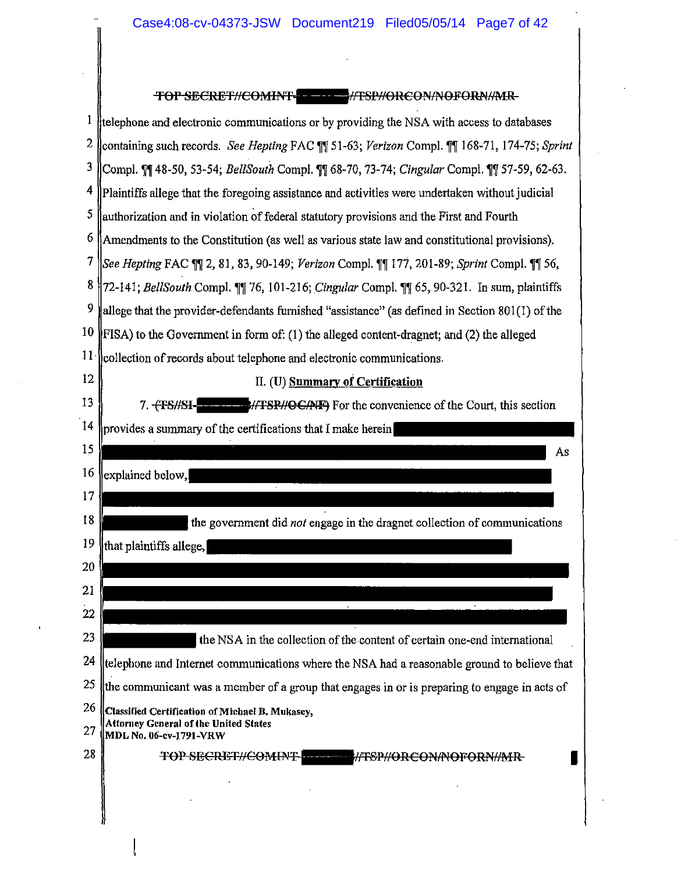$\bar{z}$ 

|    | TOP SECRET//COMINT- THE //TSP//ORCON/NOFORN//MR-                                                           |
|----|------------------------------------------------------------------------------------------------------------|
| 1  | telephone and electronic communications or by providing the NSA with access to databases                   |
| 2  | containing such records. See Hepting FAC \[\] 51-63; Verizon Compl. \[\] 168-71, 174-75; Sprint            |
| 3  | Compl. ¶ 48-50, 53-54; BellSouth Compl. ¶ 68-70, 73-74; Cingular Compl. ¶ 57-59, 62-63.                    |
| 4  | Plaintiffs allege that the foregoing assistance and activities were undertaken without judicial            |
| 5  | authorization and in violation of federal statutory provisions and the First and Fourth                    |
| 6  | Amendments to the Constitution (as well as various state law and constitutional provisions).               |
| 7  | See Hepting FAC ¶ 2, 81, 83, 90-149; Verizon Compl. ¶ 177, 201-89; Sprint Compl. ¶ 56,                     |
| 8  | 72-141; BellSouth Compl. 11 76, 101-216; Cingular Compl. 11 65, 90-321. In sum, plaintiffs                 |
| 9  | allege that the provider-defendants furnished "assistance" (as defined in Section 801(1) of the            |
| 10 | FISA) to the Government in form of: (1) the alleged content-dragnet; and (2) the alleged                   |
| 11 | collection of records about telephone and electronic communications.                                       |
| 12 | II. (U) Summary of Certification                                                                           |
| 13 | <b>EXAMPLE 1999/TESP//OC/NF</b> ) For the convenience of the Court, this section<br>7. <del>(TS//SI-</del> |
| 14 | provides a summary of the certifications that I make herein                                                |
| 15 | As                                                                                                         |
| 16 | explained below,                                                                                           |
| 17 |                                                                                                            |
| 18 | the government did not engage in the dragnet collection of communications                                  |
| 19 | that plaintiffs allege,                                                                                    |
| 20 |                                                                                                            |
| 21 |                                                                                                            |
| 22 |                                                                                                            |
| 23 | the NSA in the collection of the content of certain one-end international                                  |
| 24 | telephone and Internet communications where the NSA had a reasonable ground to believe that                |
| 25 | the communicant was a member of a group that engages in or is preparing to engage in acts of               |
| 26 | Classified Certification of Michael B. Mukasey,<br>Attorney General of the United States                   |
| 27 | MDL No. 06-cv-1791-VRW                                                                                     |
| 28 | TOP SECRET//COMINT-<br>WFSP//ORCON/NOFORN//MR-                                                             |
|    |                                                                                                            |
|    |                                                                                                            |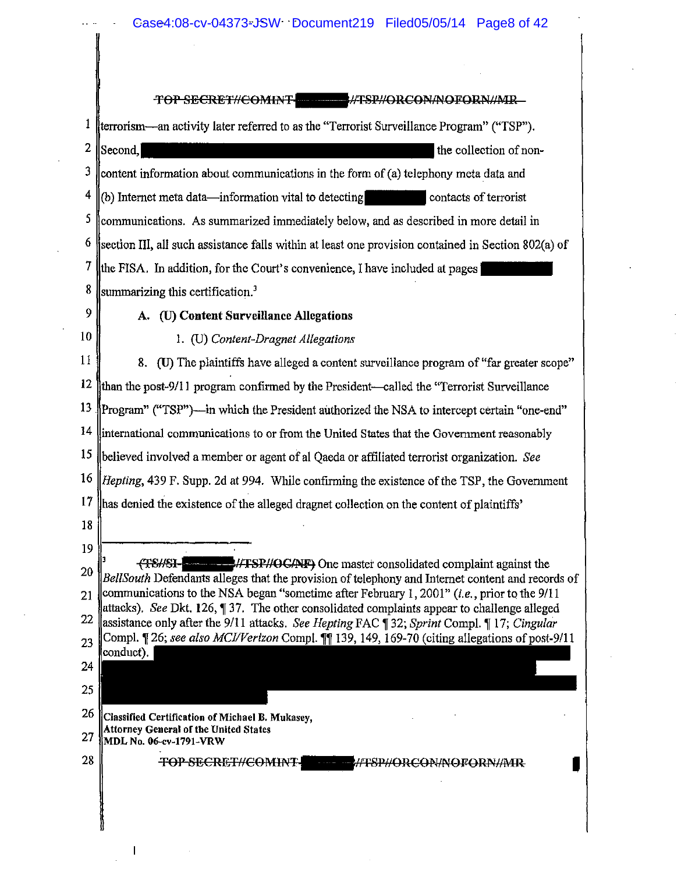Case4:08-cv-04373-JSW Document219 Filed05/05/14 Page8 of 42

TOP SECRET//COMINT -//TSP//ORCON/NOFORN//MR <sup>1</sup> Herrorism—an activity later referred to as the "Terrorist Surveillance Program" ("TSP"). 2 Second.  $3$  lcontent information about communications in the form of (a) telephony meta data and  $\frac{4 \parallel (b)}{2}$  Internet meta data—information vital to detecting  $\sim$  contacts of terrorist  $\frac{5 \text{}}{2}$  communications. As summarized immediately below, and as described in more detail in  $6$  section III, all such assistance falls within at least one provision contained in Section 802(a) of 7 the FISA. In addition, for the Court's convenience, I have included at pages  $8$  summarizing this certification.<sup>3</sup> 9 A. (U) **Content** Surveillance Allegations 10 I. (U) *Content-Dragnet Allegations*  <sup>11</sup> 8. (U) The plaintiffs have alleged a content surveillance program of "far greater scope" 12  $\theta$  the post-9/11 program confirmed by the President—called the "Terrorist Surveillance" 13 Program" ("TSP")—in which the President authorized the NSA to intercept certain "one-end"  $14$  linternational communications to or from the United States that the Government reasonably 15 involved a member or agent of a! Qaeda or affiliated terrorist organization. *See*  16  $\mu$  Hepting, 439 F. Supp. 2d at 994. While confirming the existence of the TSP, the Government  $17$  has denied the existence of the alleged dragnet collection on the content of plaintiffs' 18 19  $^{3}$   $^{4}$   $^{4}$   $^{4}$   $^{4}$   $^{5}$   $^{4}$   $^{4}$   $^{4}$   $^{5}$   $^{20}$   $^{20}$   $^{20}$   $^{20}$   $^{20}$   $^{20}$   $^{20}$   $^{20}$   $^{20}$   $^{20}$   $^{20}$   $^{20}$   $^{20}$   $^{20}$   $^{20}$   $^{20}$   $^{20}$   $^{20}$   $^{20}$   $^{20}$   $^{20}$   $^{20}$   $^{20}$  BellSouth Defendants alleges that the provision of telephony and Internet content and records of 21 Communications to the NSA began "sometime after February 1, 2001" *(i.e.*, prior to the 9/11 lattacks). *See* Dkt. 126, 137. The other consolidated complaints appear to challenge alleged 22 assistance only after the 9/11 attacks. *See Hepting FAC*  $\hat{q}$  32; *Sprint Compl.*  $\P$  17; *Cingular* 23 Compl. [26; *see also MCI/Verizon* Compl. [1] 139, 149, 169-70 (citing allegations of post-9/11) conduct). 24 25  $26$  Classified Certification of Michael B. Mukasey, Attorney General of the United States 27 MDL No. 06-cv-1791-VRW 28 | TOP SECRET//COMINT | HE HATSP//ORCON/NOFORN//MR

 $\overline{\phantom{a}}$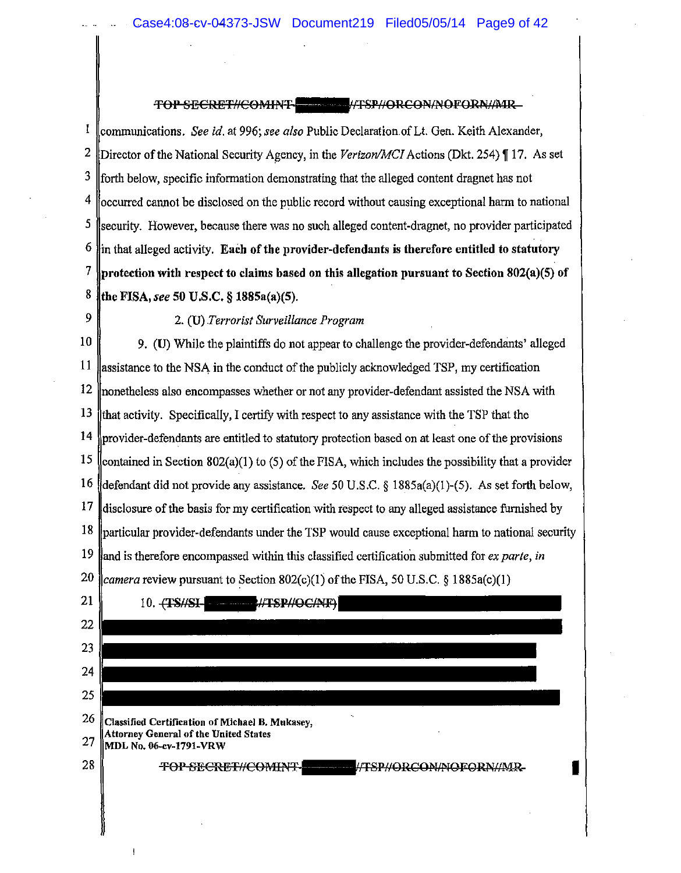### TOP SECRET//COMINT \*\*\*\*\*\*\*\*\*\*\*\*\*\*\*\*//ORCON/NOFORN//MR

1 communications. *See id.* at 996; see also Public Declaration of Lt. Gen. Keith Alexander, <sup>2</sup> Director of the National Security Agency, in the *Verizon/MCI* Actions (Dkt. 254) 17. As set  $3 \text{$ forth below, specific information demonstrating that the alleged content dragnet has not  $4$  cocurred cannot be disclosed on the public record without causing exceptional harm to national  $\frac{5}{2}$  security. However, because there was no such alleged content-dragnet, no provider participated  $\frac{6}{2}$  in that alleged activity. Each of the provider-defendants is therefore entitled to statutory 7 protection with respect to claims based on this allegation pursuant to Section 802(a)(5) of 8 FISA, *see* 50 U.S.C. § 1885a(a)(5).

9 2. (U) *Terrorist Surveillance Program* 

 $\begin{bmatrix} 10 \end{bmatrix}$  9. (U) While the plaintiffs do not appear to challenge the provider-defendants' alleged 11 assistance to the NSA in the conduct of the publicly acknowledged TSP, my certification 12 ||nonetheless also encompasses whether or not any provider-defendant assisted the NSA with 13  $\parallel$  that activity. Specifically, I certify with respect to any assistance with the TSP that the  $14$  provider-defendants are entitled to statutory protection based on at least one of the provisions 15 ||contained in Section 802(a)(1) to (5) of the FISA, which includes the possibility that a provider 16 did not provide any assistance. *See* 50 U.S.C. § 1885a(a)(I)-(5). As set forth below, 17 disclosure of the basis for my certification with respect to any alleged assistance furnished by  $18$  ||particular provider-defendants under the TSP would cause exceptional harm to national security 19 is therefore encompassed within this classified certification submitted for *ex parte, in*  20  $\alpha$  *camera* review pursuant to Section 802(c)(1) of the FISA, 50 U.S.C. § 1885a(c)(1)

| 21 | ד מותר<br><b>#TSP#O</b><br>10. H                                |
|----|-----------------------------------------------------------------|
| 22 |                                                                 |
| 23 |                                                                 |
| 24 |                                                                 |
| 25 |                                                                 |
| 26 | ٠.<br>Classified Certification of Michael B. Mukasey,           |
| 27 | Attorney General of the United States<br>MDL No. 06-cv-1791-VRW |
| 28 | #TSP#ORCON#OFORN#MR<br><b>TOP SECRET#COMINT</b>                 |
|    |                                                                 |
|    |                                                                 |
|    |                                                                 |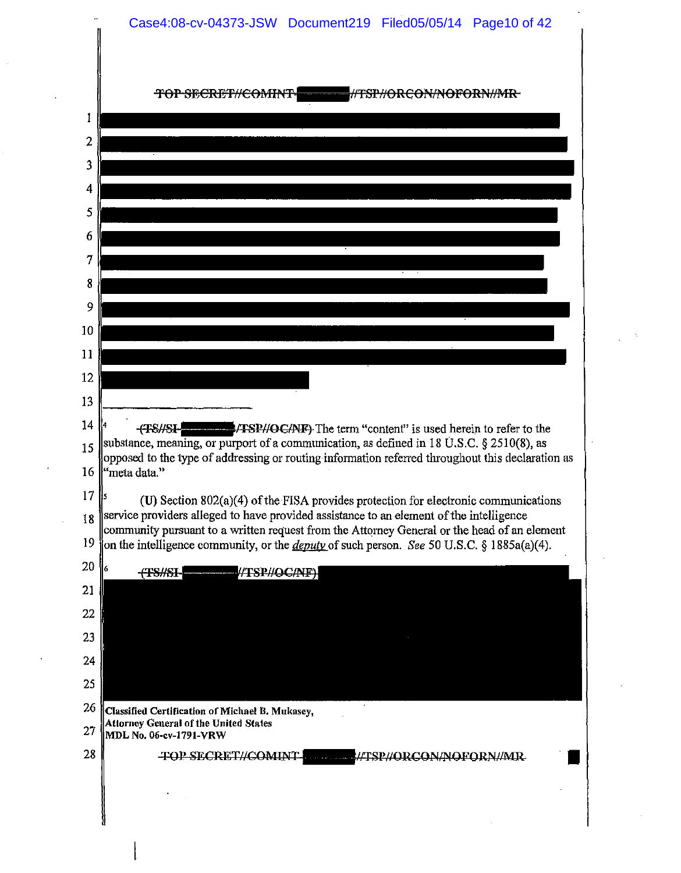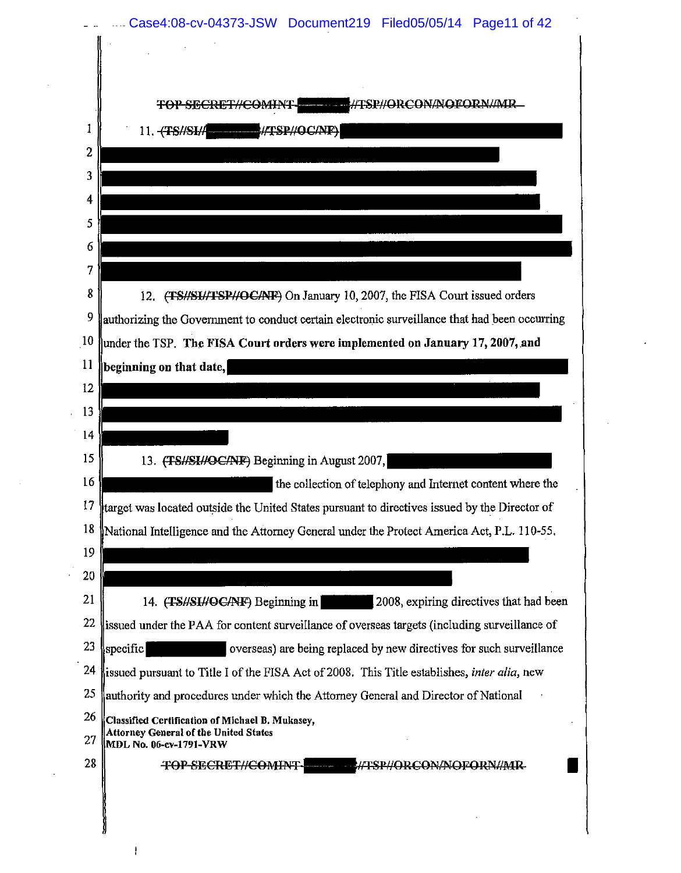|                 | TOP SECRET//COMINT WELL FISP//ORCON/NOFORN//MR                                                                                                                                              |
|-----------------|---------------------------------------------------------------------------------------------------------------------------------------------------------------------------------------------|
|                 | 11. TS/SI/A /TSP//OC/NF                                                                                                                                                                     |
|                 |                                                                                                                                                                                             |
|                 |                                                                                                                                                                                             |
|                 |                                                                                                                                                                                             |
| 5               |                                                                                                                                                                                             |
| 6               |                                                                                                                                                                                             |
| 7               |                                                                                                                                                                                             |
| 8               | 12. (TS//SI//TSP//OC/NF) On January 10, 2007, the FISA Court issued orders                                                                                                                  |
| 9               | authorizing the Government to conduct certain electronic surveillance that had been occurring                                                                                               |
| $\overline{10}$ | under the TSP. The FISA Court orders were implemented on January 17, 2007, and                                                                                                              |
| $\overline{11}$ | beginning on that date,                                                                                                                                                                     |
| 12              |                                                                                                                                                                                             |
| 13              |                                                                                                                                                                                             |
| 14              |                                                                                                                                                                                             |
| 15<br>16        | 13. (TS//SI//OC/NF) Beginning in August 2007,                                                                                                                                               |
| 17              | the collection of telephony and Internet content where the                                                                                                                                  |
| 18              | target was located outside the United States pursuant to directives issued by the Director of<br>National Intelligence and the Attorney General under the Protect America Act, P.L. 110-55. |
| 19              |                                                                                                                                                                                             |
| 20              |                                                                                                                                                                                             |
| 21              | 2008, expiring directives that had been<br>14. (TS//SI//OC/NF) Beginning in                                                                                                                 |
| 22              | issued under the PAA for content surveillance of overseas targets (including surveillance of                                                                                                |
| 23              | $ {\rm specific} $<br>overseas) are being replaced by new directives for such surveillance                                                                                                  |
| 24              | issued pursuant to Title I of the FISA Act of 2008. This Title establishes, inter alia, new                                                                                                 |
| 25              | authority and procedures under which the Attorney General and Director of National                                                                                                          |
| 26              | Classified Certification of Michael B. Mukasey,                                                                                                                                             |
| 27              | <b>Attorney General of the United States</b><br>MDL No. 06-cv-1791-VRW                                                                                                                      |
| 28              | TOP-SECRET//COMINT-<br><b>Construction Construction</b>                                                                                                                                     |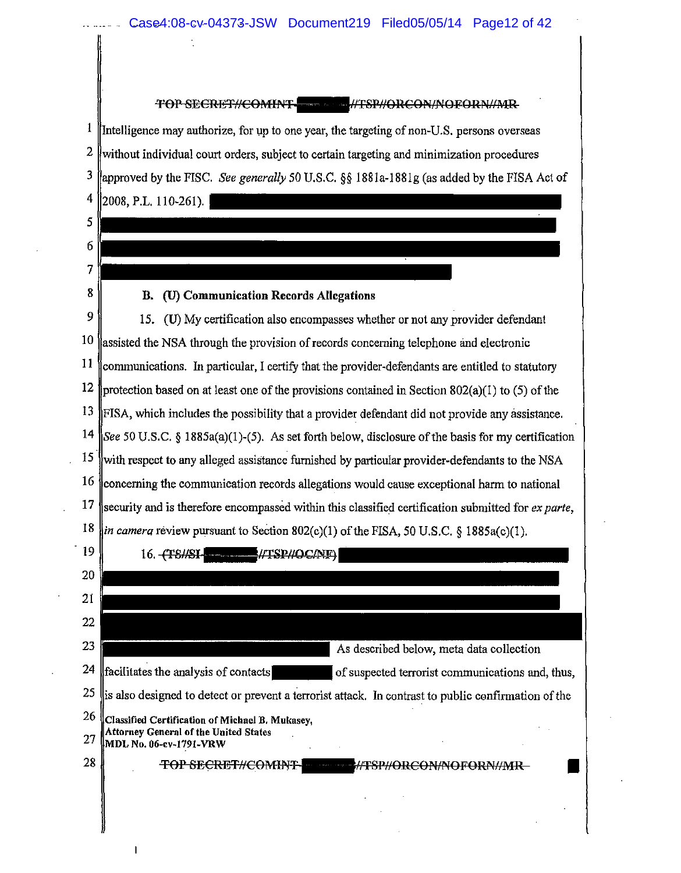

'FOP SECRE'F/JCOMINT .\_NT8l'NOUC0l't/,~OFORJ'!/tMR

 $\frac{1}{1}$  Intelligence may authorize, for up to one year, the targeting of non-U.S. persons overseas 2 without individual court orders, subject to certain targeting and minimization procedures 3 by the FISC. *See generally* 50 U.S.C. §§ 188la-188!g (as added by the FISA Act of 4 2008, P.L. 110-261).

 $8 \parallel$  B. (U) Communication Records Allegations

5

6

7

 $9 \parallel 15$ . (U) My certification also encompasses whether or not any provider defendant  $10$  assisted the NSA through the provision of records concerning telephone and electronic  $\frac{11}{10}$  communications. In particular, I certify that the provider-defendants are entitled to statutory 12 protection based on at least one of the provisions contained in Section 802(a)(1) to (5) of the 13  $\parallel$ FISA, which includes the possibility that a provider defendant did not provide any assistance. 14 See 50 U.S.C. § 1885a(a)(1)-(5). As set forth below, disclosure of the basis for my certification  $15$  with respect to any alleged assistance furnished by particular provider-defendants to the NSA  $16$  concerning the communication records allegations would cause exceptional harm to national 17 security and is therefore encompassed within this classified certification submitted for *ex parte*, 18  $\lim_{h \to 0}$  *camera* review pursuant to Section 802(c)(1) of the FISA, 50 U.S.C. § 1885a(c)(1).

| 19 | 16. -                                                                                               |
|----|-----------------------------------------------------------------------------------------------------|
| 20 |                                                                                                     |
| 21 |                                                                                                     |
| 22 |                                                                                                     |
| 23 | As described below, meta data collection                                                            |
| 24 | facilitates the analysis of contacts<br>of suspected terrorist communications and, thus,            |
| 25 | is also designed to detect or prevent a terrorist attack. In contrast to public confirmation of the |
| 26 | Classified Certification of Michael B. Mukasey,                                                     |
| 27 | <b>Attorney General of the United States</b><br>MDL No. 06-cv-1791-VRW                              |
| 28 | <b>TOP SECRET#COMINT-</b>                                                                           |
|    |                                                                                                     |
|    |                                                                                                     |
|    |                                                                                                     |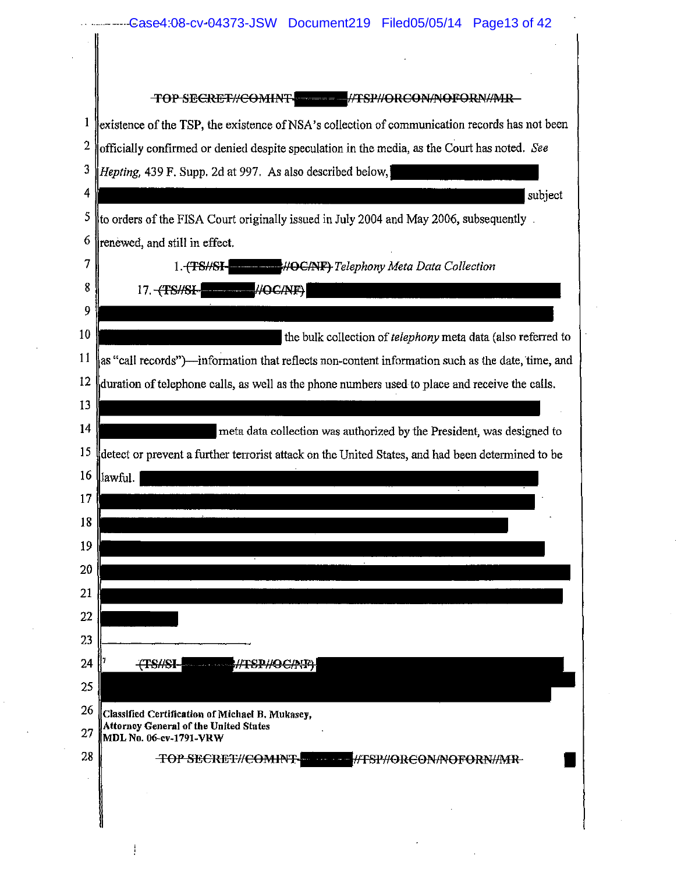|                  | Case4:08-cv-04373-JSW Document219 Filed05/05/14 Page13 of 42                                                              |
|------------------|---------------------------------------------------------------------------------------------------------------------------|
|                  |                                                                                                                           |
|                  |                                                                                                                           |
|                  |                                                                                                                           |
| 1                | existence of the TSP, the existence of NSA's collection of communication records has not been                             |
| $\boldsymbol{2}$ | officially confirmed or denied despite speculation in the media, as the Court has noted. See                              |
| 3                | Hepting, 439 F. Supp. 2d at 997. As also described below,                                                                 |
| 4                | subject                                                                                                                   |
| 5                | to orders of the FISA Court originally issued in July 2004 and May 2006, subsequently.                                    |
| 6                | renewed, and still in effect.                                                                                             |
| 7                | 1.7S/ST<br><b>HOC/NF)</b> Telephony Meta Data Collection                                                                  |
| 8                | #OC/NF)<br>17. TS#SI-                                                                                                     |
| 9                |                                                                                                                           |
| 10               | the bulk collection of <i>telephony</i> meta data (also referred to                                                       |
| 11               | as "call records")—information that reflects non-content information such as the date, time, and                          |
| 12               | duration of telephone calls, as well as the phone numbers used to place and receive the calls.                            |
| 13               |                                                                                                                           |
| 14               | meta data collection was authorized by the President, was designed to                                                     |
| 15               | detect or prevent a further terrorist attack on the United States, and had been determined to be                          |
| 16               | lawful.                                                                                                                   |
| 17               |                                                                                                                           |
| 18               |                                                                                                                           |
| 19               |                                                                                                                           |
| 20               |                                                                                                                           |
| 21               |                                                                                                                           |
| 22               |                                                                                                                           |
| 23               |                                                                                                                           |
| 24               |                                                                                                                           |
| 25               |                                                                                                                           |
| 26<br>27         | Classified Certification of Michael B. Mukasey,<br><b>Attorney General of the United States</b><br>MDL No. 06-cv-1791-VRW |
| 28               | TOP SECRET//COMINT-<br>#TSP#ORCON#NOFORN#MR                                                                               |
|                  |                                                                                                                           |
|                  |                                                                                                                           |
|                  |                                                                                                                           |

 $\mathcal{L}_{\mathcal{A}}$ 

 $\frac{1}{2}$ 

 $\frac{1}{2} \int_{0}^{\infty} \frac{1}{2} \left( \frac{1}{2} \right) \left( \frac{1}{2} \right) \left( \frac{1}{2} \right) \left( \frac{1}{2} \right) \left( \frac{1}{2} \right) \left( \frac{1}{2} \right) \left( \frac{1}{2} \right) \left( \frac{1}{2} \right) \left( \frac{1}{2} \right) \left( \frac{1}{2} \right) \left( \frac{1}{2} \right) \left( \frac{1}{2} \right) \left( \frac{1}{2} \right) \left( \frac{1}{2} \right) \left( \frac{1}{2} \right) \$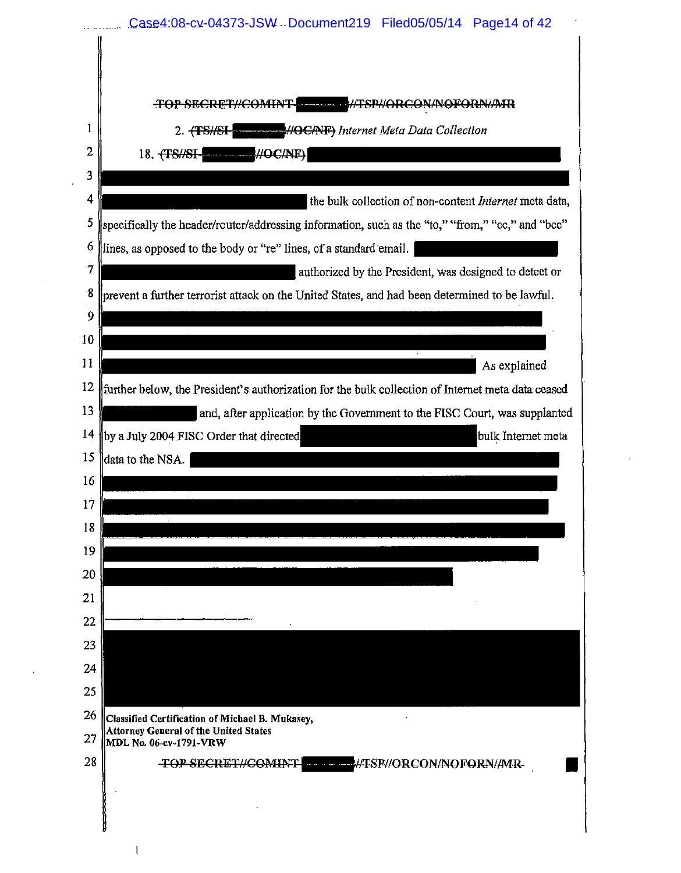|          | Case4:08-cv-04373-JSW Document219 Filed05/05/14 Page14 of 42                                      |
|----------|---------------------------------------------------------------------------------------------------|
|          |                                                                                                   |
|          | TOP SECRET//COMINT<br>//TSP//ORCON/NOFORN//MR                                                     |
| -1       | 2. (TSHSI- HOCANF) Internet Meta Data Collection                                                  |
| 2        | $-\#OCMF$<br>18. $\left\langle$ TS#SI-<br>يتأمرهما فالعادية                                       |
| 3        |                                                                                                   |
| 4        | the bulk collection of non-content Internet meta data,                                            |
|          | specifically the header/router/addressing information, such as the "to," "from," "cc," and "bcc"  |
| 6        | lines, as opposed to the body or "re" lines, of a standard email.                                 |
| 7        | authorized by the President, was designed to detect or                                            |
| -8       | prevent a further terrorist attack on the United States, and had been determined to be lawful.    |
| 9        |                                                                                                   |
| 10<br>11 |                                                                                                   |
|          | As explained                                                                                      |
| 12       | further below, the President's authorization for the bulk collection of Internet meta data ceased |
| 13<br>14 | and, after application by the Government to the FISC Court, was supplanted                        |
|          | by a July 2004 FISC Order that directed<br>bulk Internet meta                                     |
| 16       | data to the NSA.                                                                                  |
|          |                                                                                                   |
| 17<br>18 |                                                                                                   |
| 19       |                                                                                                   |
| 20       |                                                                                                   |
| 21       |                                                                                                   |
| 22       |                                                                                                   |
| 23       |                                                                                                   |
| 24       |                                                                                                   |
| 25       |                                                                                                   |
| 26       | Classified Certification of Michael B. Mukasey,                                                   |
| 27       | Attorney General of the United States<br>MDL No. 06-ev-1791-VRW                                   |
| 28       | <b>TOP SECRET//COMINT!</b><br><b>ALLE ATSPAORCON/NOFORNAMIR-</b>                                  |
|          |                                                                                                   |
|          |                                                                                                   |
|          |                                                                                                   |

 $\mathbf{E}$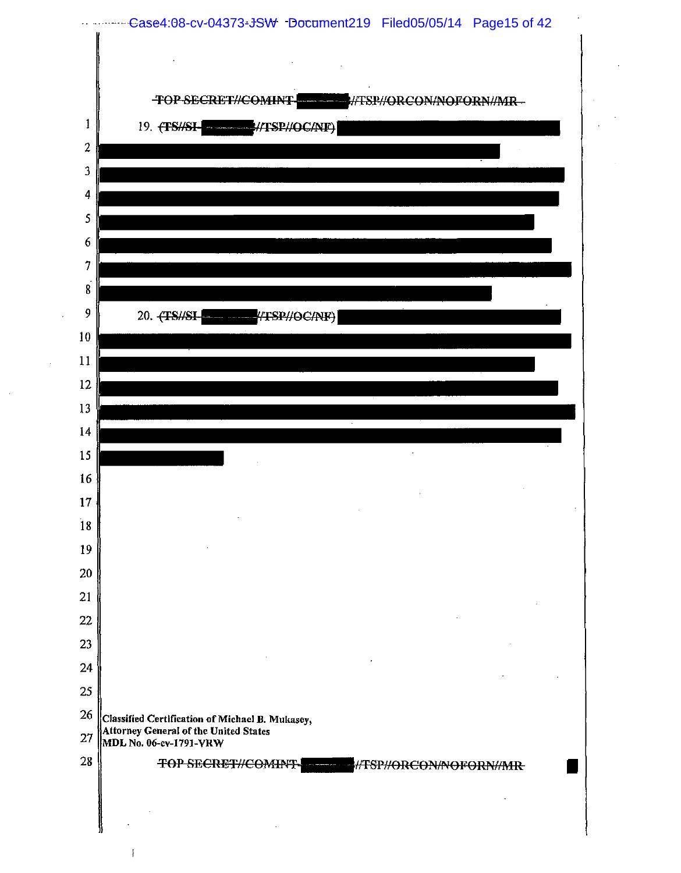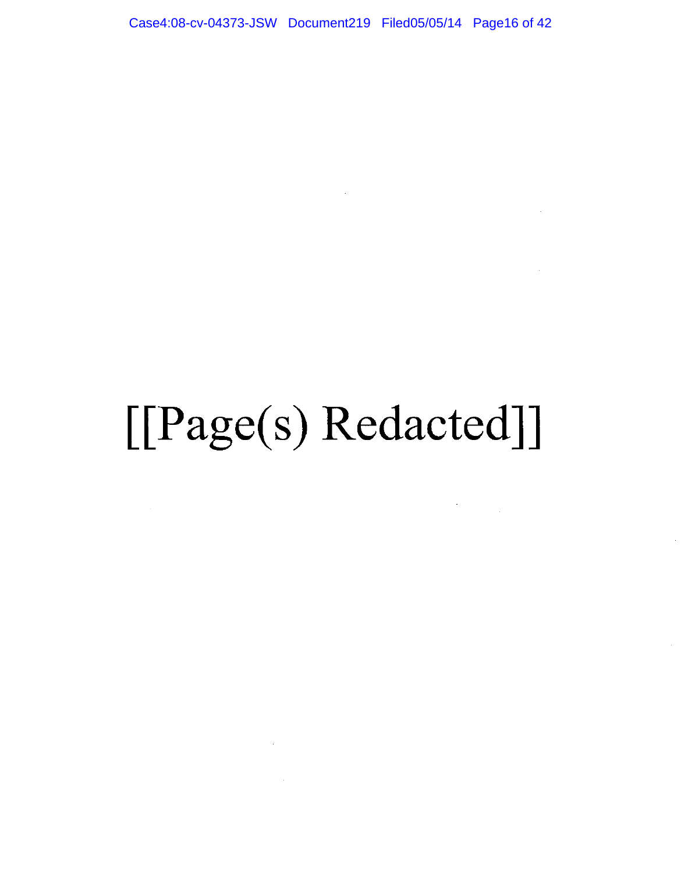Case4:08-cv-04373-JSW Document219 Filed05/05/14 Page16 of 42

 $\sim$   $\sim$ 

## [[Page(s) Redacted]]

 $\label{eq:2} \frac{1}{\sqrt{2}}\left(\frac{1}{\sqrt{2}}\right)^{2} \left(\frac{1}{\sqrt{2}}\right)^{2} \left(\frac{1}{\sqrt{2}}\right)^{2} \left(\frac{1}{\sqrt{2}}\right)^{2} \left(\frac{1}{\sqrt{2}}\right)^{2} \left(\frac{1}{\sqrt{2}}\right)^{2} \left(\frac{1}{\sqrt{2}}\right)^{2} \left(\frac{1}{\sqrt{2}}\right)^{2} \left(\frac{1}{\sqrt{2}}\right)^{2} \left(\frac{1}{\sqrt{2}}\right)^{2} \left(\frac{1}{\sqrt{2}}\right)^{2} \left(\frac{$ 

 $\label{eq:2.1} \frac{1}{\sqrt{2}}\left(\frac{1}{\sqrt{2}}\right)^{2} \left(\frac{1}{\sqrt{2}}\right)^{2} \left(\frac{1}{\sqrt{2}}\right)^{2} \left(\frac{1}{\sqrt{2}}\right)^{2} \left(\frac{1}{\sqrt{2}}\right)^{2} \left(\frac{1}{\sqrt{2}}\right)^{2} \left(\frac{1}{\sqrt{2}}\right)^{2} \left(\frac{1}{\sqrt{2}}\right)^{2} \left(\frac{1}{\sqrt{2}}\right)^{2} \left(\frac{1}{\sqrt{2}}\right)^{2} \left(\frac{1}{\sqrt{2}}\right)^{2} \left(\$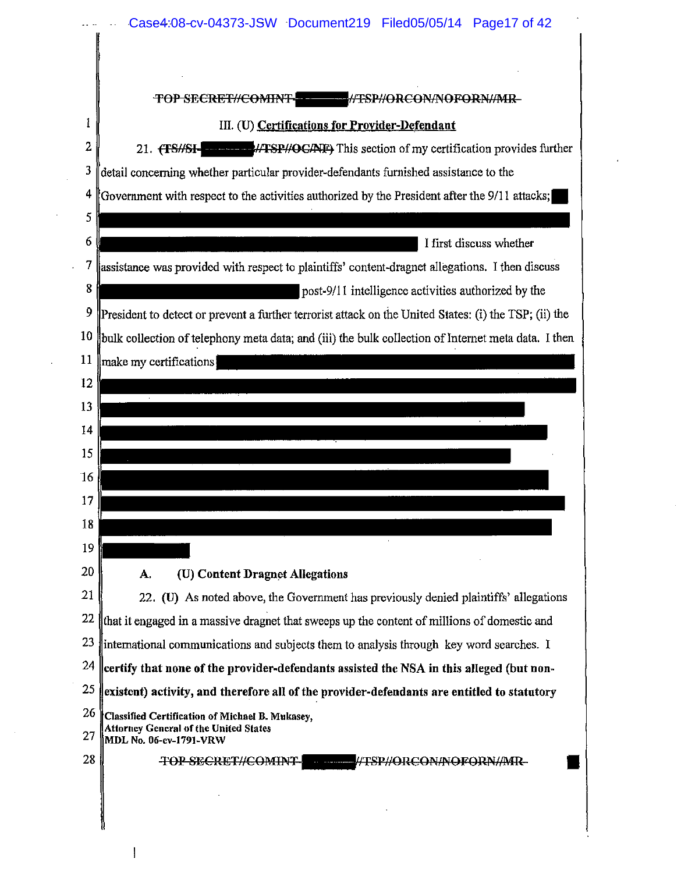|   | <b>//TSP//ORCON/NOFORN//MR-</b><br>TOP SECRET#COMINT                                                                      |
|---|---------------------------------------------------------------------------------------------------------------------------|
| 1 | III. (U) Certifications for Provider-Defendant                                                                            |
|   | 21. (TS//SI- MERECANE) This section of my certification provides further                                                  |
|   | detail concerning whether particular provider-defendants furnished assistance to the                                      |
|   | Government with respect to the activities authorized by the President after the 9/11 attacks;                             |
|   | I first discuss whether                                                                                                   |
|   | assistance was provided with respect to plaintiffs' content-dragnet allegations. I then discuss                           |
|   | post-9/11 intelligence activities authorized by the                                                                       |
|   | President to detect or prevent a further terrorist attack on the United States: (i) the TSP; (ii) the                     |
|   | bulk collection of telephony meta data; and (iii) the bulk collection of Internet meta data. I then                       |
|   | make my certifications                                                                                                    |
|   |                                                                                                                           |
|   |                                                                                                                           |
|   |                                                                                                                           |
|   |                                                                                                                           |
|   |                                                                                                                           |
|   |                                                                                                                           |
|   |                                                                                                                           |
|   |                                                                                                                           |
|   | (U) Content Dragnet Allegations<br>А.                                                                                     |
|   | 22. (U) As noted above, the Government has previously denied plaintiffs' allegations                                      |
|   | that it engaged in a massive dragnet that sweeps up the content of millions of domestic and                               |
|   | international communications and subjects them to analysis through key word searches. I                                   |
|   | $\,$ certify that none of the provider-defendants assisted the NSA in this alleged (but non-                              |
|   | existent) activity, and therefore all of the provider-defendants are entitled to statutory                                |
|   | Classified Certification of Michael B. Mukasey,<br><b>Attorney General of the United States</b><br>MDL No. 06-cv-1791-VRW |
|   | <del>TOP SECRET//COMINT-</del><br>#TSP#ORCON#NOFORN#MR-<br>$\omega_{\rm{eff}}=2.11\mu$ matrix                             |

 $\sim$ 

 $\pmb{\mid}$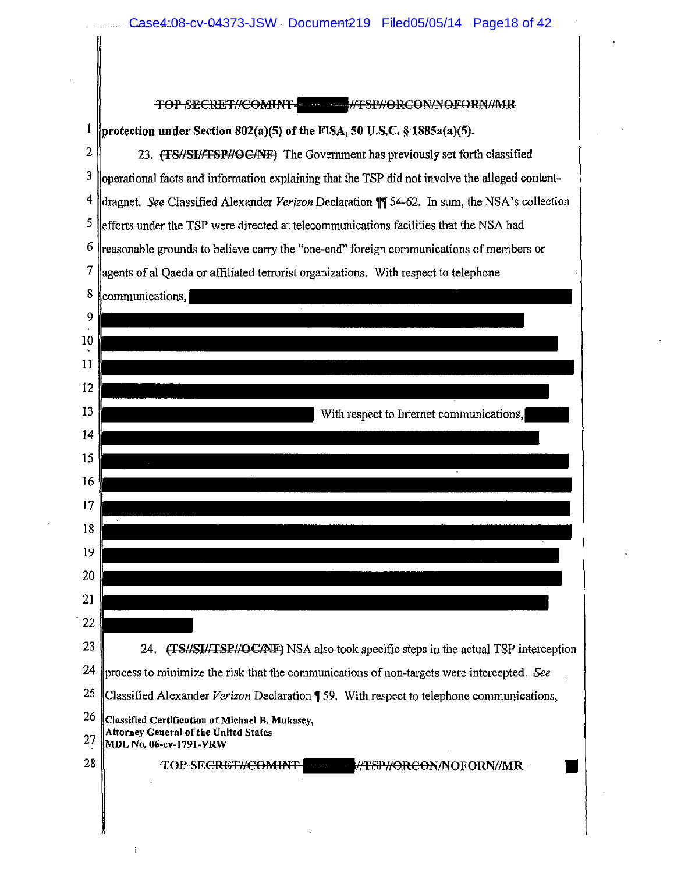|          | TOP SECRET//COMINT- 4 7 7 8P//ORCON/NOFORN/MR                                                                      |  |
|----------|--------------------------------------------------------------------------------------------------------------------|--|
| 1        | protection under Section 802(a)(5) of the FISA, 50 U.S.C. $\S$ 1885a(a)(5).                                        |  |
| 2        | 23. (TS//SI//TSP//OC/NF) The Government has previously set forth classified                                        |  |
| 3        | operational facts and information explaining that the TSP did not involve the alleged content-                     |  |
| 4        | dragnet. See Classified Alexander Verizon Declaration \[\] 54-62. In sum, the NSA's collection                     |  |
| 5        | efforts under the TSP were directed at telecommunications facilities that the NSA had                              |  |
| 6        | reasonable grounds to believe carry the "one-end" foreign communications of members or                             |  |
| 7        | agents of al Qaeda or affiliated terrorist organizations. With respect to telephone                                |  |
| 8        | communications,                                                                                                    |  |
| 9        |                                                                                                                    |  |
| 10.      |                                                                                                                    |  |
| 11       |                                                                                                                    |  |
| 12       |                                                                                                                    |  |
| 13       | With respect to Internet communications,                                                                           |  |
| 14       |                                                                                                                    |  |
| 15       |                                                                                                                    |  |
| 16       |                                                                                                                    |  |
| 17       |                                                                                                                    |  |
| 18       |                                                                                                                    |  |
| 19       |                                                                                                                    |  |
| 20       |                                                                                                                    |  |
| 21       |                                                                                                                    |  |
| 22       |                                                                                                                    |  |
| 23       | 24. (TS/SI/TSP//OC/NF) NSA also took specific steps in the actual TSP interception                                 |  |
| 24       | process to minimize the risk that the communications of non-targets were intercepted. See                          |  |
| 25       | Classified Alexander Verizon Declaration 159. With respect to telephone communications,                            |  |
| 26<br>27 | Classified Certification of Michael B. Mukasey,<br>Attorney General of the United States<br>MDL No. 06-cv-1791-VRW |  |
| 28       | <b>TOP SECRET#COMINT</b>                                                                                           |  |
|          |                                                                                                                    |  |
|          |                                                                                                                    |  |

 $\mathbf i$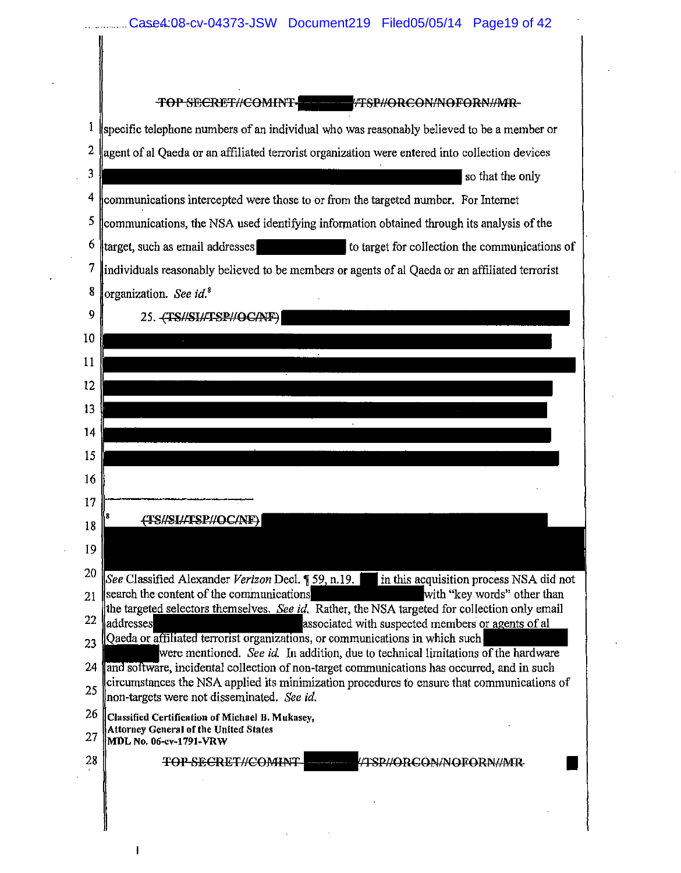**TOP SECRET//COMINT-**- TSP//ORCON/NOFORN/MR-1 specific telephone numbers of an individual who was reasonably believed to be a member or  $2 \text{ \emph{l}}$  agent of al Qaeda or an affiliated terrorist organization were entered into collection devices  $\frac{3}{8}$  so that the only <sup>4</sup> communications intercepted were those to or from the targeted number. For Internet <sup>5</sup> communications, the NSA used identifying information obtained through its analysis of the 6 target, such as email addresses to target for collection the communications of  $7$  lindividuals reasonably believed to be members or agents of al Qaeda or an affiliated terrorist 8 **o**rganization. See id.<sup>8</sup>  $9$   $25.$   $\left\langle$  TS//SI//TSP//OC/NF) 10 11 12 13 14 15 16 1711----------------- (TS//SI//TSP//OC/NF) 18 19 20 See Classified Alexander Verizon Decl.  $\sqrt{59, n.19}$ . in this acquisition process NSA did not  $21$  search the content of the communications with "key words" other than the targeted selectors themselves. See id. Rather, the NSA targeted for collection only email  $22$  addresses associated with suspected members or agents of all  $23$   $\sqrt{\frac{1}{23}}$   $\sqrt{\frac{1}{23}}$   $\sqrt{\frac{1}{23}}$   $\sqrt{\frac{1}{23}}$   $\sqrt{\frac{1}{23}}$   $\sqrt{\frac{1}{23}}$   $\sqrt{\frac{1}{23}}$   $\sqrt{\frac{1}{23}}$   $\sqrt{\frac{1}{23}}$   $\sqrt{\frac{1}{23}}$   $\sqrt{\frac{1}{23}}$   $\sqrt{\frac{1}{23}}$   $\sqrt{\frac{1}{23}}$   $\sqrt{\frac{1}{23}}$   $\sqrt{\frac{1}{23}}$   $\sqrt{\frac{1}{23}}$   $\sqrt{\frac{1}{$ were mentioned. *See id.* In addition, due to technical limitations of the hardware 24 and software, incidental collection of non-target communications has occurred, and in such  $25$  circumstances the NSA applied its minimization procedures to ensure that communications of llncm-targ;ets were not disseminated. *See id.*   $26$  Classified Certification of Michael B. Mukasey, Attorney General of the United States 27 MDL No. 06-cv-1791-VRW 28 | TOP SECRET//COMINT | /TSP//ORCON/NOFORN//MR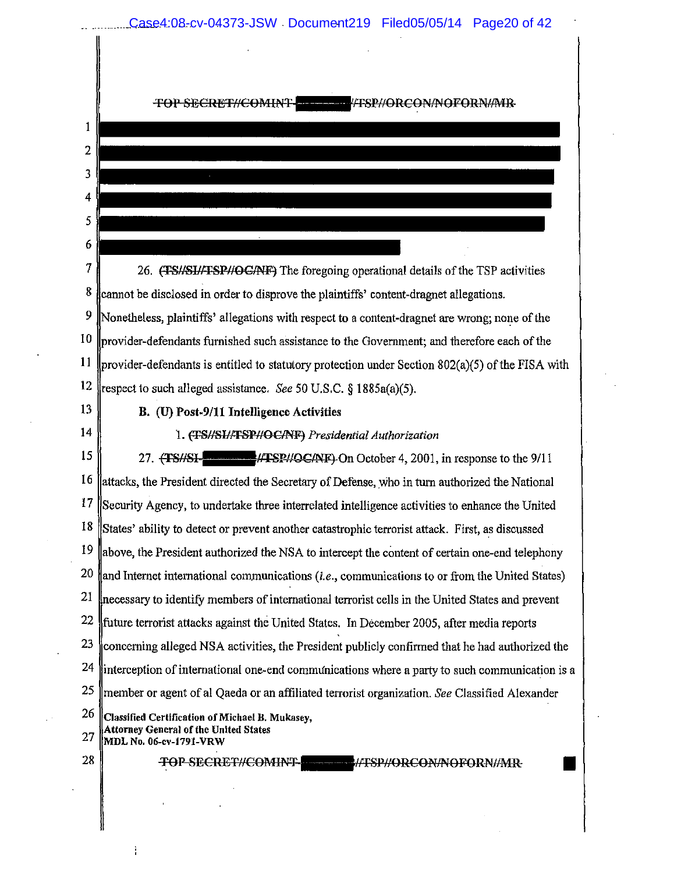|                | LESP/ORCON/NOFORN/MR                                                                                                        |
|----------------|-----------------------------------------------------------------------------------------------------------------------------|
| 1              |                                                                                                                             |
| $\overline{2}$ |                                                                                                                             |
| 3              |                                                                                                                             |
| 4              |                                                                                                                             |
| 5              |                                                                                                                             |
| 6              |                                                                                                                             |
| 7              | 26. (TS//SI//TSP//OG/NF) The foregoing operational details of the TSP activities                                            |
| 8              |                                                                                                                             |
| 9              | cannot be disclosed in order to disprove the plaintiffs' content-dragnet allegations.                                       |
| 10             | Nonetheless, plaintiffs' allegations with respect to a content-dragnet are wrong; none of the                               |
| <sup>11</sup>  | provider-defendants furnished such assistance to the Government; and therefore each of the                                  |
| 12             | provider-defendants is entitled to statutory protection under Section $802(a)(5)$ of the FISA with                          |
| 13             | respect to such alleged assistance. See 50 U.S.C. § 1885a(a)(5).                                                            |
| 14             | B. (U) Post-9/11 Intelligence Activities                                                                                    |
| 15             | 1. (TS//SL/TSP//OC/NF) Presidential Authorization<br>27. (TS//SI- //TSP//QC/NF)-On October 4, 2001, in response to the 9/11 |
| 16             | lattacks, the President directed the Secretary of Defense, who in turn authorized the National                              |
| 17             | Security Agency, to undertake three interrelated intelligence activities to enhance the United                              |
| 18             | States' ability to detect or prevent another catastrophic terrorist attack. First, as discussed                             |
| 19             | above, the President authorized the NSA to intercept the content of certain one-end telephony                               |
| 20             | and Internet international communications (i.e., communications to or from the United States)                               |
| 21             | necessary to identify members of international terrorist cells in the United States and prevent                             |
| 22             | future terrorist attacks against the United States. In December 2005, after media reports                                   |
| 23             | concerning alleged NSA activities, the President publicly confirmed that he had authorized the                              |
| 24             | interception of international one-end communications where a party to such communication is a                               |
| 25             | member or agent of al Qaeda or an affiliated terrorist organization. See Classified Alexander                               |
| 26             | Classified Certification of Michael B. Mukasey,                                                                             |
| 27             | Attorney General of the United States<br>MDL No. 06-cv-1791-VRW                                                             |
| 28             | TOP SECRET//COMINT<br>WFSP//ORCON/NOFORN//MR-                                                                               |

 $\mathcal{L}^{\text{max}}_{\text{max}}$  . The set of  $\mathcal{L}^{\text{max}}_{\text{max}}$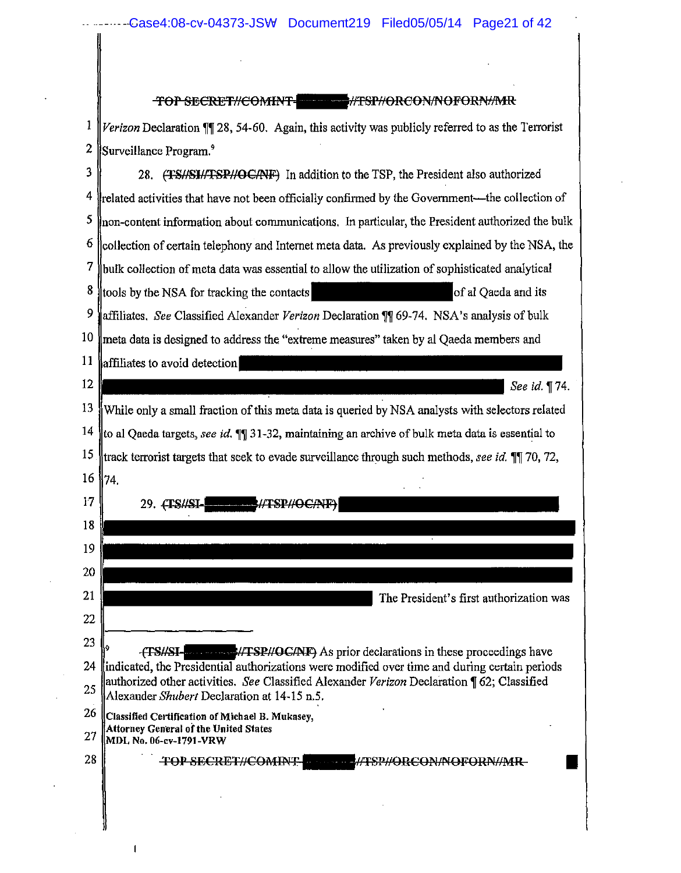$\mathcal{L}^{\text{max}}_{\text{max}}$  and  $\mathcal{L}^{\text{max}}_{\text{max}}$ 

 $\hat{\mathbf{r}}$ 

 $\mathcal{L}^{\text{max}}_{\text{max}}$  and  $\mathcal{L}^{\text{max}}_{\text{max}}$ 

 $\bar{\beta}$ 

 $\sim$ 

 $\bar{\gamma}$ 

J,

 $\mathbf I$ 

|              | TOP SECRET//COMINT- HERE MISP//ORCON/NOFORN/MR                                                                                            |
|--------------|-------------------------------------------------------------------------------------------------------------------------------------------|
| $\mathbf{1}$ | Verizon Declaration ¶ 28, 54-60. Again, this activity was publicly referred to as the Terrorist                                           |
| 2            | Surveillance Program. <sup>9</sup>                                                                                                        |
| 3            | 28. (TS//SI//TSP//OC/NF) In addition to the TSP, the President also authorized                                                            |
| 4            | related activities that have not been officially confirmed by the Government—the collection of                                            |
| 5            | non-content information about communications. In particular, the President authorized the bulk                                            |
| 6            | collection of certain telephony and Internet meta data. As previously explained by the NSA, the                                           |
| 7            | bulk collection of meta data was essential to allow the utilization of sophisticated analytical                                           |
| 8            | tools by the NSA for tracking the contacts<br>of al Oaeda and its                                                                         |
| 9            | affiliates, See Classified Alexander Verizon Declaration ¶¶ 69-74. NSA's analysis of bulk                                                 |
| 10           | meta data is designed to address the "extreme measures" taken by al Qaeda members and                                                     |
| 11           | affiliates to avoid detection                                                                                                             |
| $12 \,$      | See id. ¶74.                                                                                                                              |
| 13           | While only a small fraction of this meta data is queried by NSA analysts with selectors related                                           |
| 14           | to al Qaeda targets, see id. 11 31-32, maintaining an archive of bulk meta data is essential to                                           |
| 15           | track terrorist targets that seek to evade surveillance through such methods, see id. 11 70, 72,                                          |
| 16           | 74.                                                                                                                                       |
| 17           | 29. (TS#SI-<br><b>MTSP#OCANF)</b>                                                                                                         |
| 18           |                                                                                                                                           |
| 19           |                                                                                                                                           |
| 20           |                                                                                                                                           |
| 21           | The President's first authorization was                                                                                                   |
| 22           |                                                                                                                                           |
| 23           | <b>EXECUTE:</b> HTSP//OC/NF) As prior declarations in these proceedings have<br>-{TS#SI-                                                  |
| 24           | indicated, the Presidential authorizations were modified over time and during certain periods                                             |
| 25           | authorized other activities. See Classified Alexander Verizon Declaration ¶ 62; Classified<br>Alexander Shubert Declaration at 14-15 n.5. |
| 26<br>27     | Classified Certification of Michael B. Mukasey,<br>Attorney General of the United States<br>  MDL No. 06-cv-1791-VRW                      |
| 28           | <b>TOP SECRET//COMINT-</b><br>SP#ORCON#NOFORN#MR-                                                                                         |
|              |                                                                                                                                           |
|              |                                                                                                                                           |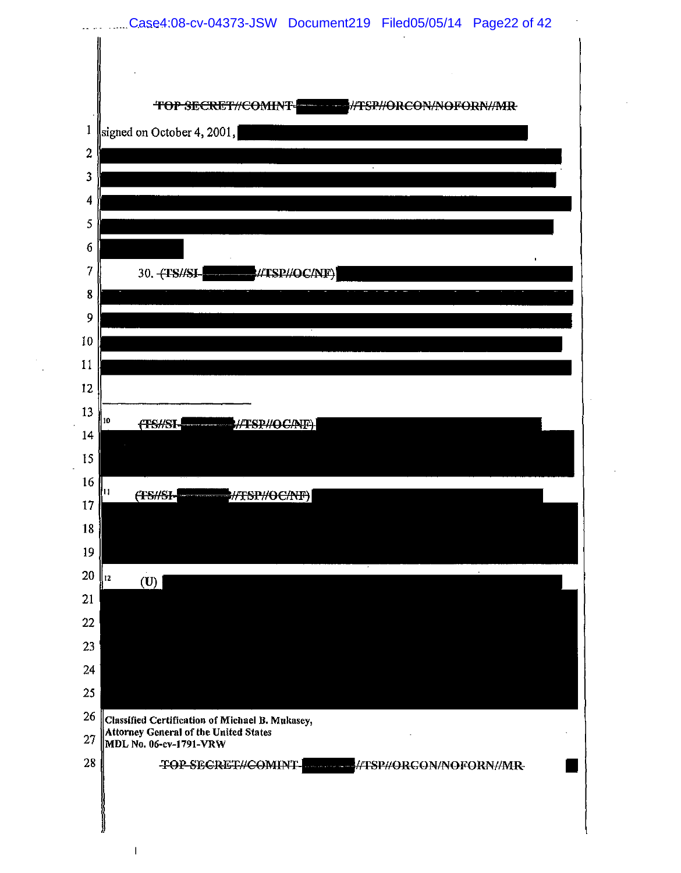

 $\overline{\phantom{a}}$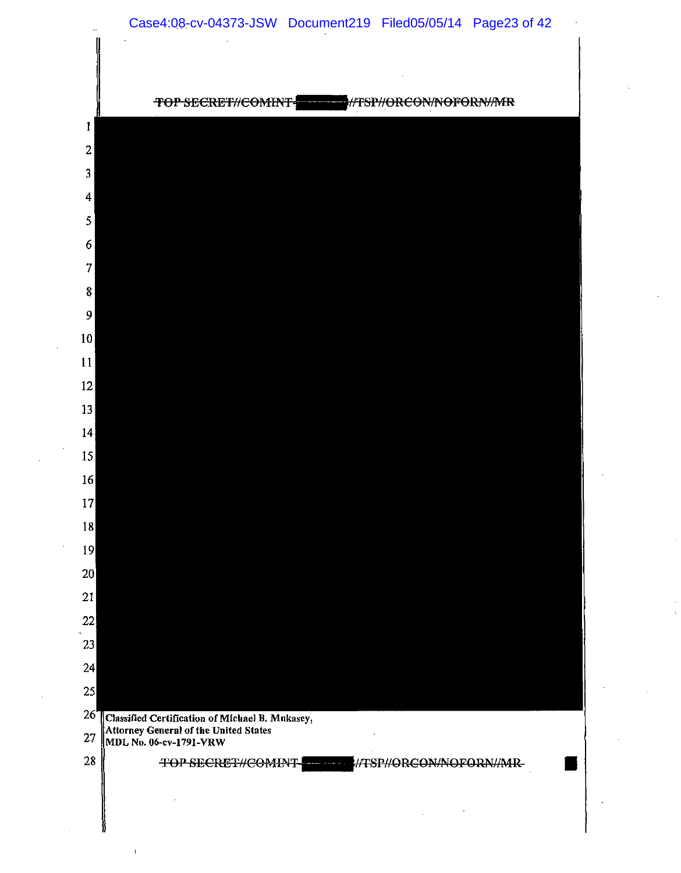

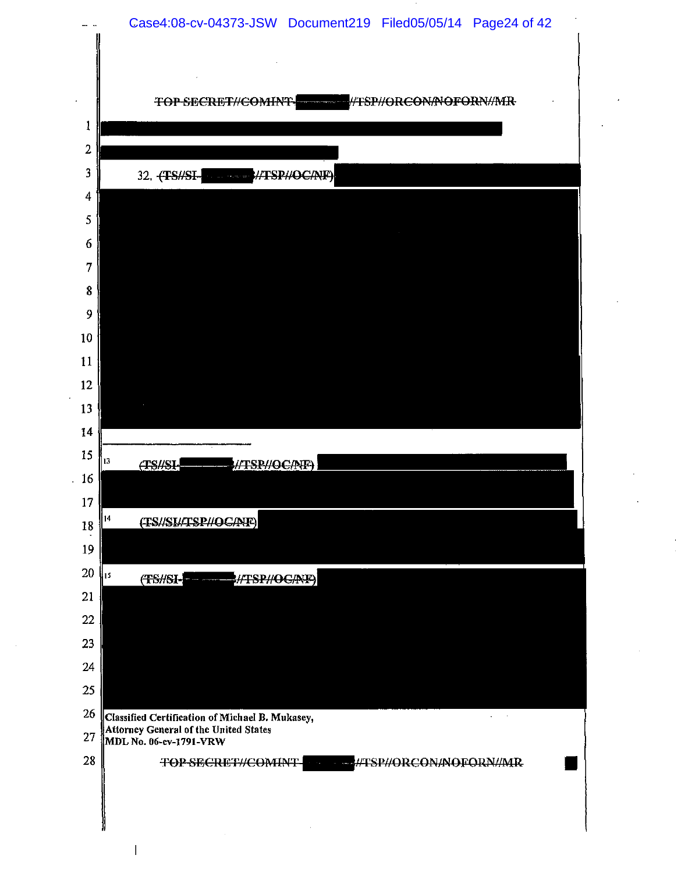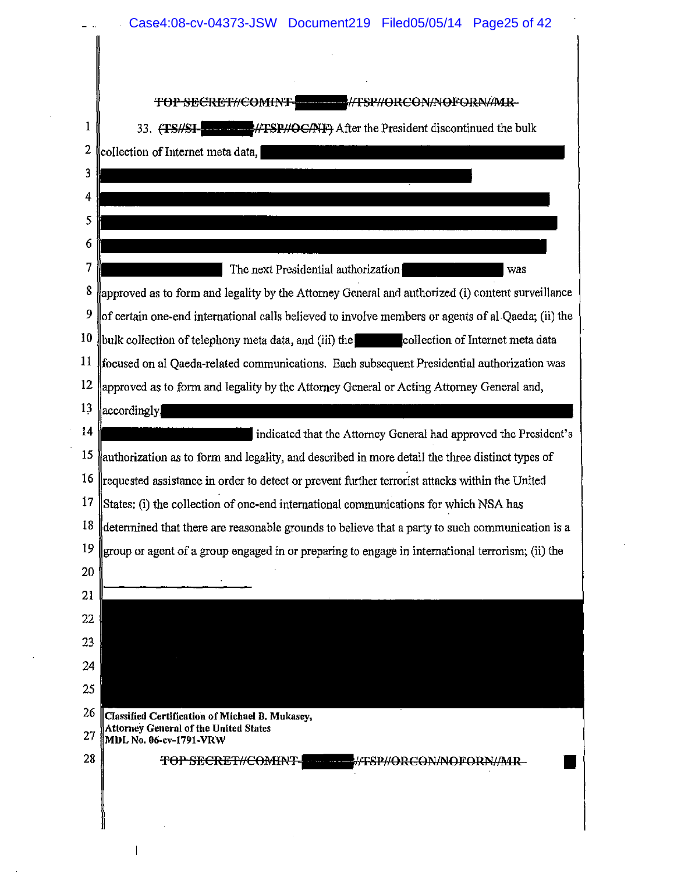|                | <b>TOP SECRET//COMINT-</b><br><b>ALL ALTSP//ORCON/NOFORN//MR-</b>                                  |
|----------------|----------------------------------------------------------------------------------------------------|
| 1              | 33. (TS/SI- ///TSP//OC/NIF) After the President discontinued the bulk                              |
| $\overline{c}$ | collection of Internet meta data,                                                                  |
| 3              |                                                                                                    |
| 4              |                                                                                                    |
| 5              |                                                                                                    |
| 6              |                                                                                                    |
| 7              | The next Presidential authorization<br>was                                                         |
| 8              | approved as to form and legality by the Attorney General and authorized (i) content surveillance   |
| 9              | of certain one-end international calls believed to involve members or agents of al Qaeda; (ii) the |
| 10             | bulk collection of telephony meta data, and (iii) the collection of Internet meta data             |
| 11             | focused on al Qaeda-related communications. Each subsequent Presidential authorization was         |
| 12             | approved as to form and legality by the Attorney General or Acting Attorney General and,           |
| 13             | accordingly                                                                                        |
| 14             | indicated that the Attorney General had approved the President's                                   |
| 15             | authorization as to form and legality, and described in more detail the three distinct types of    |
| 16             | requested assistance in order to detect or prevent further terrorist attacks within the United     |
| 17             | States: (i) the collection of one-end international communications for which NSA has               |
| 18             | determined that there are reasonable grounds to believe that a party to such communication is a    |
| 19             | group or agent of a group engaged in or preparing to engage in international terrorism; (ii) the   |
| 20             |                                                                                                    |
| 21             |                                                                                                    |
| 22             |                                                                                                    |
| 23             |                                                                                                    |
| 24             |                                                                                                    |
| 25             |                                                                                                    |
| 26             | Classified Certification of Michael B. Mukasey,<br>Attorney General of the United States           |
| 27             | MDL No. 06-cv-1791-VRW                                                                             |
| 28             | TOP SECRET#COMINT-<br>#FSP#ORCON/NOFORN#MR-<br>سأستقرأ والتقرير والأرادة                           |

 $\bar{1}$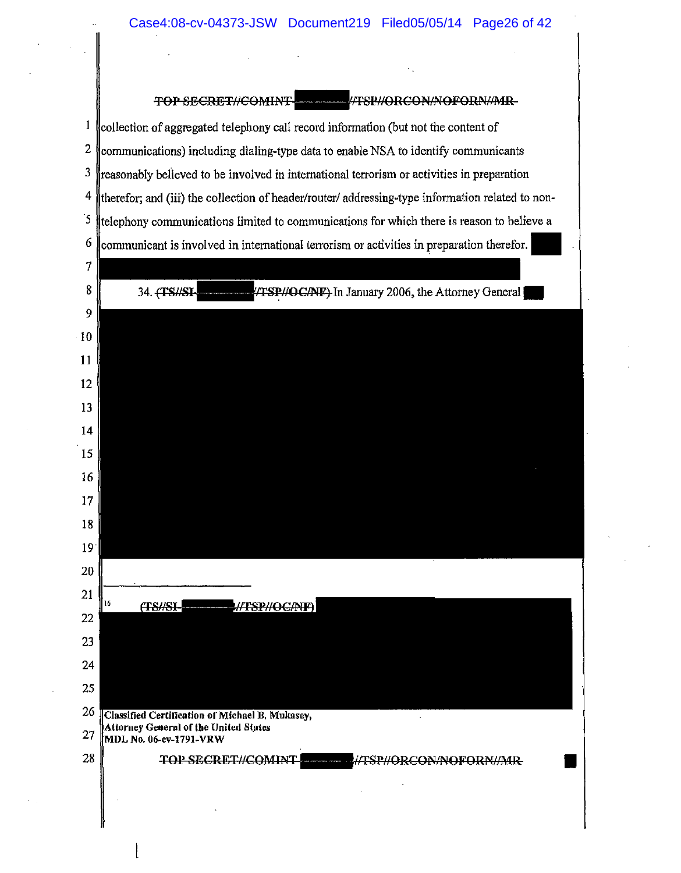TOP SECRET//COMINT- $\frac{1}{100}$ /TSP//ORCON/NOFORN//MR-

 $\mathbf{1}$ lcollection of aggregated telephony call record information (but not the content of 2 communications) including dialing-type data to enable NSA to identify communicants lineasonably believed to be involved in international terrorism or activities in preparation therefor; and (iii) the collection of header/router/ addressing-type information related to non- $\overline{5}$  (telephony communications limited to communications for which there is reason to believe a communicant is involved in international terrorism or activities in preparation therefor.

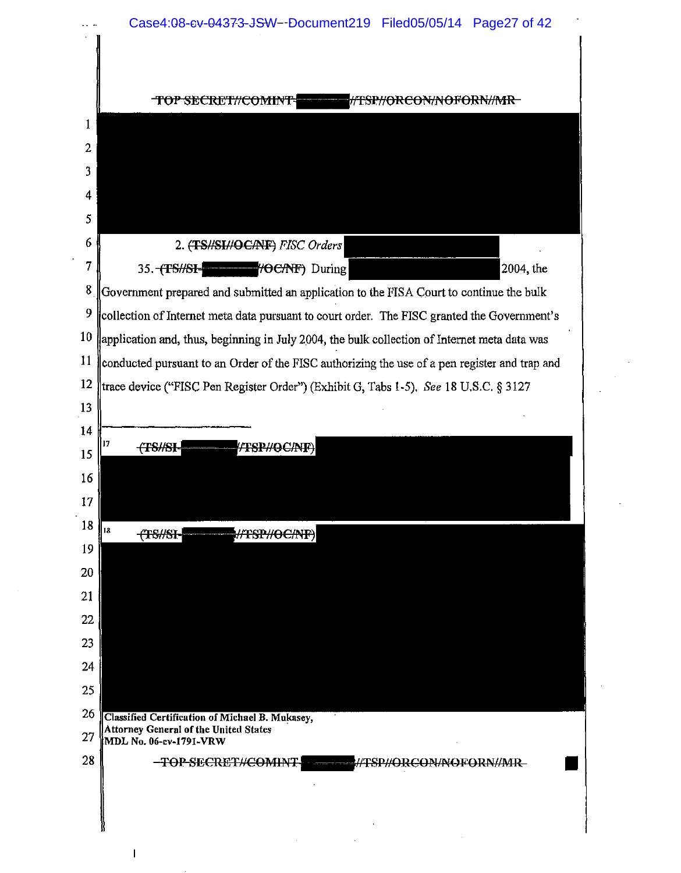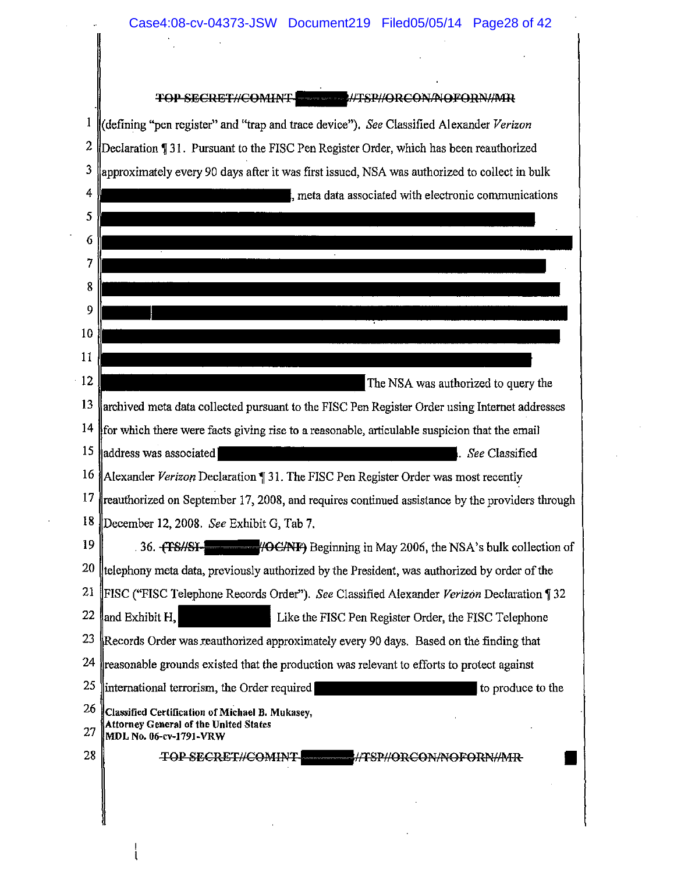|          | TOP SECRET//COMINT. //TSP//ORCON/NOFORN//MR                                                                                                                              |
|----------|--------------------------------------------------------------------------------------------------------------------------------------------------------------------------|
|          | (defining "pen register" and "trap and trace device"). See Classified Alexander Verizon                                                                                  |
| 2        | Declaration ¶ 31. Pursuant to the FISC Pen Register Order, which has been reauthorized                                                                                   |
| 3        | approximately every 90 days after it was first issued, NSA was authorized to collect in bulk                                                                             |
| 4        | meta data associated with electronic communications                                                                                                                      |
| 5        |                                                                                                                                                                          |
| 6        |                                                                                                                                                                          |
| 7        |                                                                                                                                                                          |
|          |                                                                                                                                                                          |
|          |                                                                                                                                                                          |
| 10       |                                                                                                                                                                          |
| 11       |                                                                                                                                                                          |
|          | The NSA was authorized to query the                                                                                                                                      |
| 13       | archived meta data collected pursuant to the FISC Pen Register Order using Internet addresses                                                                            |
| 14       | for which there were facts giving rise to a reasonable, articulable suspicion that the email                                                                             |
| 15       | address was associated<br>See Classified                                                                                                                                 |
| 16       | Alexander Verizon Declaration ¶ 31. The FISC Pen Register Order was most recently                                                                                        |
|          | 17   reauthorized on September 17, 2008, and requires continued assistance by the providers through                                                                      |
| 19       | 18 December 12, 2008. See Exhibit G, Tab 7.                                                                                                                              |
| 20       | HOCANF) Beginning in May 2006, the NSA's bulk collection of<br>36. HISHSI<br>telephony meta data, previously authorized by the President, was authorized by order of the |
| 21       | [FISC ("FISC Telephone Records Order"). See Classified Alexander Verizon Declaration ][32                                                                                |
| 22       | and Exhibit H.<br>Like the FISC Pen Register Order, the FISC Telephone                                                                                                   |
| 23       | Records Order was reauthorized approximately every 90 days. Based on the finding that                                                                                    |
| 24       | reasonable grounds existed that the production was relevant to efforts to protect against                                                                                |
| 25       | international terrorism, the Order required<br>to produce to the                                                                                                         |
| 26<br>27 | Classified Certification of Michael B. Mukasey,<br><b>Attorney General of the United States</b><br>MDL No. 06-cv-1791-VRW                                                |
|          | HTSPHORCONANOFORNHMR                                                                                                                                                     |

 $\left\vert \cdot \right\vert$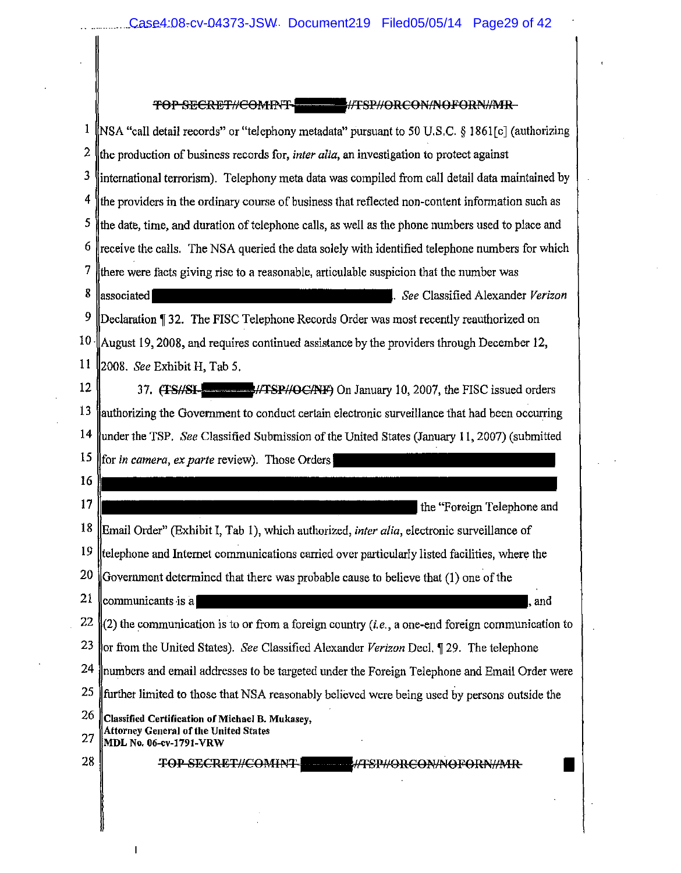|                 | TOP SECRET//COMINT- //TSP//ORCON/NOFORN//MR-                                                                              |  |
|-----------------|---------------------------------------------------------------------------------------------------------------------------|--|
| 1               | [NSA "call detail records" or "telephony metadata" pursuant to 50 U.S.C. § 1861[c] (authorizing                           |  |
| 2               | the production of business records for, <i>inter alia</i> , an investigation to protect against                           |  |
| 3               | international terrorism). Telephony meta data was compiled from call detail data maintained by                            |  |
| 4               | the providers in the ordinary course of business that reflected non-content information such as                           |  |
| 5               | the date, time, and duration of telephone calls, as well as the phone numbers used to place and                           |  |
| 6               | receive the calls. The NSA queried the data solely with identified telephone numbers for which                            |  |
| 7               | there were facts giving rise to a reasonable, articulable suspicion that the number was                                   |  |
| 8               | associated<br>. See Classified Alexander Verizon                                                                          |  |
| 9               | Declaration 132. The FISC Telephone Records Order was most recently reauthorized on                                       |  |
| 10 <sub>1</sub> | August 19, 2008, and requires continued assistance by the providers through December 12,                                  |  |
| 11              | 2008. See Exhibit H, Tab 5.                                                                                               |  |
| 12              | 37. (TS//SI- Martin 10, 2007, the FISC issued orders                                                                      |  |
| 13              | authorizing the Government to conduct certain electronic surveillance that had been occurring                             |  |
| 14              | under the TSP. See Classified Submission of the United States (January 11, 2007) (submitted                               |  |
| 15              | for in camera, ex parte review). Those Orders                                                                             |  |
| 16              |                                                                                                                           |  |
| 17              | the "Foreign Telephone and                                                                                                |  |
| 18              | Email Order" (Exhibit I, Tab 1), which authorized, inter alia, electronic surveillance of                                 |  |
| 19              | telephone and Internet communications carried over particularly listed facilities, where the                              |  |
| 20              | Government determined that there was probable cause to believe that (1) one of the                                        |  |
| 21              | communicants is a<br>, and                                                                                                |  |
| 22              | (2) the communication is to or from a foreign country $(i.e., a one-end foreign communication to$                         |  |
| 23              | or from the United States). See Classified Alexander Verizon Decl. 19. The telephone                                      |  |
| 24              | numbers and email addresses to be targeted under the Foreign Telephone and Email Order were                               |  |
| 25              | further limited to those that NSA reasonably believed were being used by persons outside the                              |  |
| 26<br>27        | Classified Certification of Michael B. Mukasey,<br><b>Attorney General of the United States</b><br>MDL No. 06-ev-1791-VRW |  |
| 28              | TOP SECRET//COMINT- HTSP//ORCON/NOFORN//MR                                                                                |  |
|                 |                                                                                                                           |  |
|                 |                                                                                                                           |  |
|                 |                                                                                                                           |  |

 $\mathbf I$ 

 $\sim$ 

 $\mathcal{L}_{\mathcal{A}}$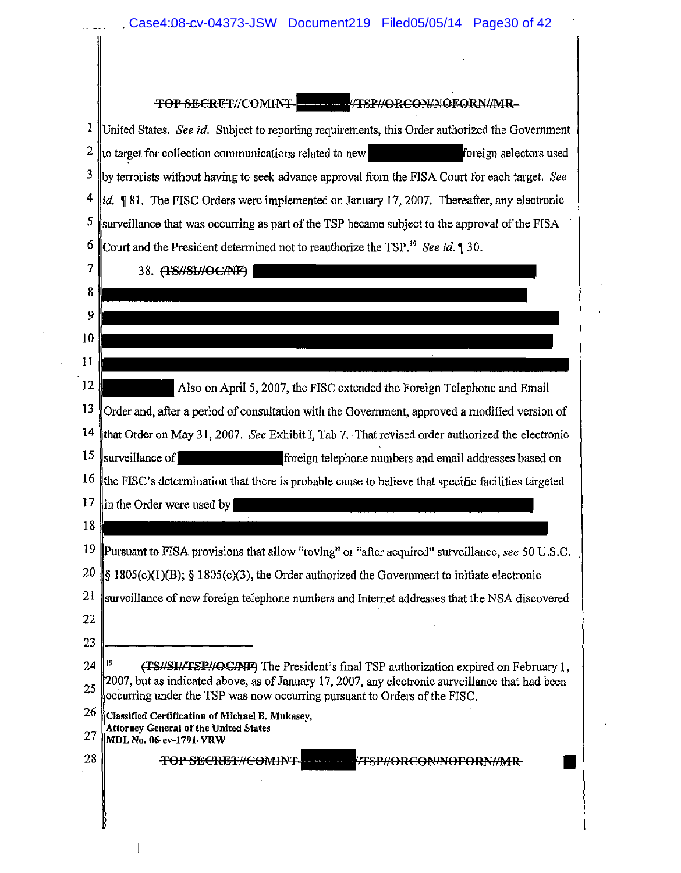<sup>1</sup> United States. *See id.* Subject to reporting requirements, this Order authorized the Government 2  $\parallel$  to target for collection communications related to new  $\parallel$  foreign selectors used <sup>3</sup> by terrorists without having to seek advance approval from the FISA Court for each target. *See*  $4 \text{ lid.}$  **181.** The FISC Orders were implemented on January 17, 2007. Thereafter, any electronic  $\frac{5}{5}$  surveillance that was occurring as part of the TSP became subject to the approval of the FISA 6 Court and the President determined not to reauthorize the TSP.<sup>19</sup> See id. 1 30.

38. (TS//SI//OC/NF) |

| 8  |                                                                                                                                                                              |
|----|------------------------------------------------------------------------------------------------------------------------------------------------------------------------------|
| 9  |                                                                                                                                                                              |
| 10 |                                                                                                                                                                              |
| 11 |                                                                                                                                                                              |
| 12 | Also on April 5, 2007, the FISC extended the Foreign Telephone and Email                                                                                                     |
| 13 | Order and, after a period of consultation with the Government, approved a modified version of                                                                                |
| 14 | that Order on May 31, 2007. See Exhibit I, Tab 7. That revised order authorized the electronic                                                                               |
| 15 | surveillance of<br>foreign telephone numbers and email addresses based on                                                                                                    |
| 16 | the FISC's determination that there is probable cause to believe that specific facilities targeted                                                                           |
| 17 | in the Order were used by                                                                                                                                                    |
| 18 |                                                                                                                                                                              |
| 19 | Pursuant to FISA provisions that allow "roving" or "after acquired" surveillance, see 50 U.S.C.                                                                              |
| 20 | $\frac{1}{2}$ 1805(c)(1)(B); § 1805(c)(3), the Order authorized the Government to initiate electronic                                                                        |
| 21 | surveillance of new foreign telephone numbers and Internet addresses that the NSA discovered                                                                                 |
| 22 |                                                                                                                                                                              |
| 23 |                                                                                                                                                                              |
| 24 | (TS//SI//TSP//OC/NF) The President's final TSP authorization expired on February 1,                                                                                          |
| 25 | 2007, but as indicated above, as of January 17, 2007, any electronic surveillance that had been<br>occurring under the TSP was now occurring pursuant to Orders of the FISC. |
| 26 | Classified Certification of Michael B. Mukasey,                                                                                                                              |

- Attorney General of the United States 27 MDL No. 06-cv-1791-VRW
- $28$  MDL No. 06-cv-1791-VRW<br>28 TOP SECRET#COMINT TSP#ORCON/NOFORN/IMR  $\blacksquare$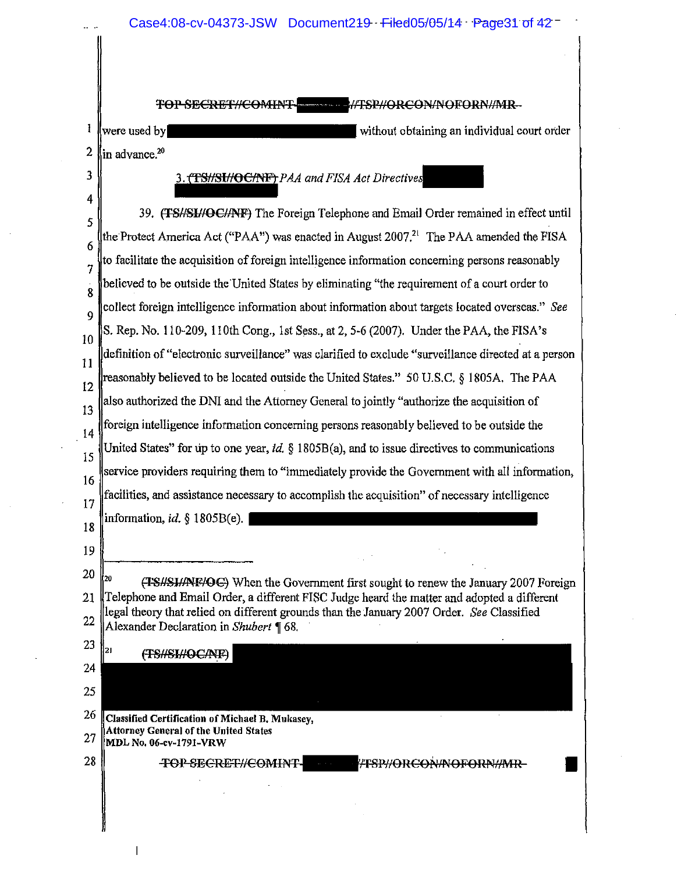Case4:08-cv-04373-JSW Document219 Filed05/05/14 Page31 of 42

TOP SECRET//COMINT- 41/TSP//ORCON/NOFORN//MR-

I without obtaining an individual court order 2 in advance.<sup>20</sup>

### 3. TSHSHOCANT PAA and FISA Act Directives

4 39. (TSHSIHOCHNF) The Foreign Telephone and Email Order remained in effect until 5 the Protect America Act ("PAA") was enacted in August 2007.<sup>21</sup> The PAA amended the FISA 6  $\frac{1}{7}$  to facilitate the acquisition of foreign intelligence information concerning persons reasonably believed to be outside the United States by eliminating "the requirement of a court order to 8 collect foreign intelligence information about information about targets located overseas." *See* 9 10 S. Rep. No. 110-209, 110th Cong., 1st Sess., at 2, 5-6 (2007). Under the PAA, the FISA's  $\|1\|$  definition of "electronic surveillance" was clarified to exclude "surveillance directed at a person  $\|1\|$ reasonably believed to be located outside the United States." 50 U.S.C. § 1805A. The PAA 12 also authorized the DNI and the Attorney General to jointly "authorize the acquisition of 13  $\frac{1}{4}$  foreign intelligence information concerning persons reasonably believed to be outside the United States" for up to one year, id.  $\S$  1805B(a), and to issue directives to communications 15  $\parallel$  service providers requiring them to "immediately provide the Government with all information, 16  $\frac{17}{17}$  facilities, and assistance necessary to accomplish the acquisition" of necessary intelligence 18 information, *id.*  $\S$  1805B(e). 19 |<br>20 | 20 (TSHSH/NF/OC) When the Government first sought to renew the January 2007 Foreign 21 ||Telephone and Email Order, a different FISC Judge heard the matter and adopted a different theory that relied on different grounds than the January 2007 Order. *See* Classified 22 Alexander Declaration in *Shubert* 168. 23  $21$ (TS//SI//OC/NF) 24 25

26 Classified Certification of Michael B. Mukasey, Attorney General of the United States  $27$  MDL No. 06-cv-1791-VRW

28 | TOP SECRET//COMINT - FFSP//ORCON/NOFORN//MR

3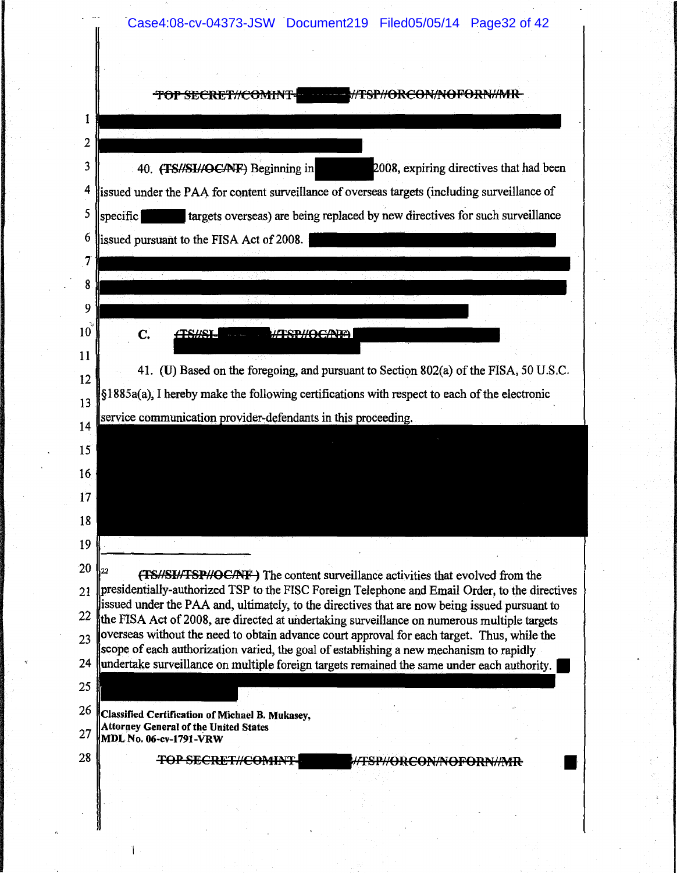Case4:08-cv-04373-JSW Document219 Filed05/05/14 Page32 of 42

|           | TOP SECRET#COM                                                                                                                                                                                  |
|-----------|-------------------------------------------------------------------------------------------------------------------------------------------------------------------------------------------------|
| 1         |                                                                                                                                                                                                 |
|           |                                                                                                                                                                                                 |
| 2         |                                                                                                                                                                                                 |
| 3         | 40. (TS//SI//OC/NF) Beginning in<br>2008, expiring directives that had been                                                                                                                     |
| 4         | issued under the PAA for content surveillance of overseas targets (including surveillance of                                                                                                    |
| 5         | targets overseas) are being replaced by new directives for such surveillance<br>specific                                                                                                        |
| 6         | issued pursuant to the FISA Act of 2008.                                                                                                                                                        |
| 7         |                                                                                                                                                                                                 |
| 8         |                                                                                                                                                                                                 |
| 9         |                                                                                                                                                                                                 |
| $10^{10}$ | C.                                                                                                                                                                                              |
| 11        |                                                                                                                                                                                                 |
| 12        | 41. (U) Based on the foregoing, and pursuant to Section 802(a) of the FISA, 50 U.S.C.                                                                                                           |
| 13        | §1885a(a), I hereby make the following certifications with respect to each of the electronic                                                                                                    |
| 14        | service communication provider-defendants in this proceeding.                                                                                                                                   |
| 15        |                                                                                                                                                                                                 |
|           |                                                                                                                                                                                                 |
| 16        |                                                                                                                                                                                                 |
| 17        |                                                                                                                                                                                                 |
| 18        |                                                                                                                                                                                                 |
| 19        |                                                                                                                                                                                                 |
| 20        | (TS//SI//TSP//OC/NF) The content surveillance activities that evolved from the                                                                                                                  |
| 21        | presidentially-authorized TSP to the FISC Foreign Telephone and Email Order, to the directives<br>issued under the PAA and, ultimately, to the directives that are now being issued pursuant to |
| 22        | the FISA Act of 2008, are directed at undertaking surveillance on numerous multiple targets                                                                                                     |
| 23        | overseas without the need to obtain advance court approval for each target. Thus, while the<br>scope of each authorization varied, the goal of establishing a new mechanism to rapidly          |
| 24        | undertake surveillance on multiple foreign targets remained the same under each authority.                                                                                                      |
| 25        |                                                                                                                                                                                                 |
| 26        | Classified Certification of Michael B. Mukasey,                                                                                                                                                 |
| 27        | <b>Attorney General of the United States</b><br>MDL No. 06-cv-1791-VRW                                                                                                                          |
| 28        | <b>TOP SECRET#COMIN</b>                                                                                                                                                                         |
|           |                                                                                                                                                                                                 |
|           |                                                                                                                                                                                                 |
|           |                                                                                                                                                                                                 |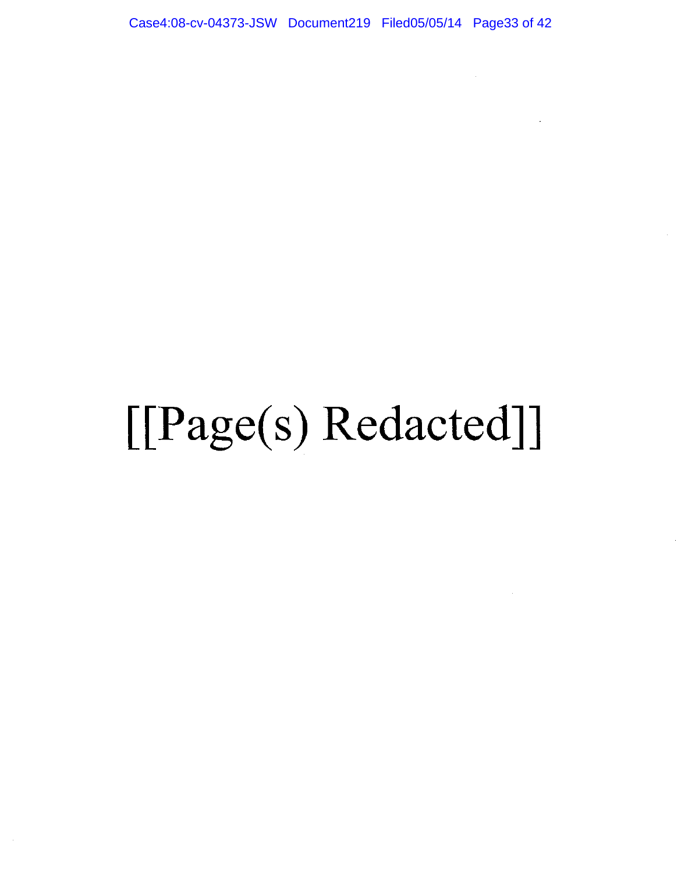Case4:08-cv-04373-JSW Document219 Filed05/05/14 Page33 of 42

# [[Page(s) Redacted]]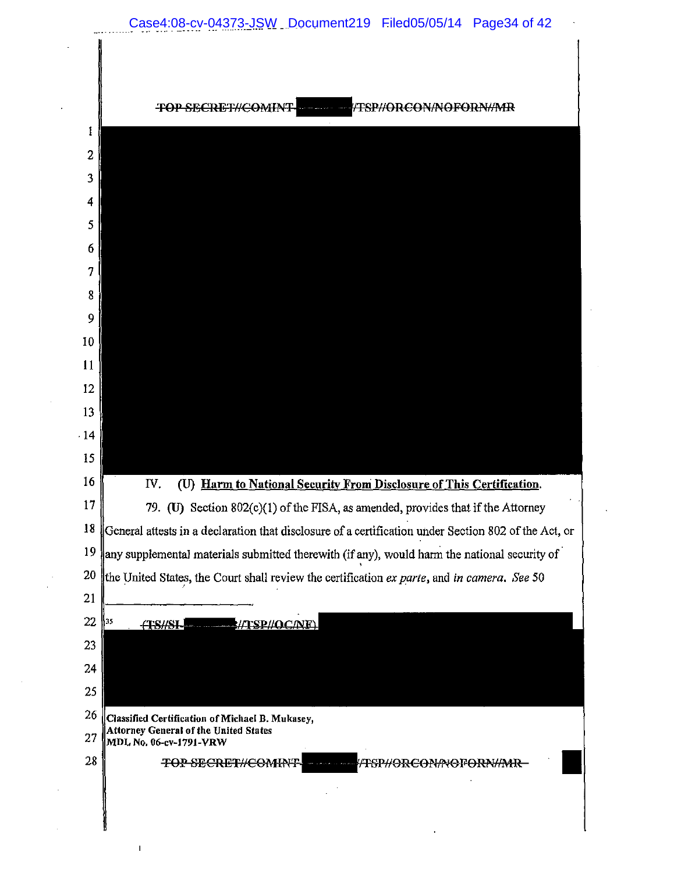

 $\ddot{x}$ 

÷.

 $\sim$ 

 $\mathbf I$ 

|                | <del>!CON/NOFORN//MR</del><br><del>:TOP SECRIE</del>                                                    |
|----------------|---------------------------------------------------------------------------------------------------------|
| 1              |                                                                                                         |
| $\overline{2}$ |                                                                                                         |
| 3              |                                                                                                         |
| 4              |                                                                                                         |
| 5              |                                                                                                         |
| 6              |                                                                                                         |
| 7              |                                                                                                         |
| 8              |                                                                                                         |
| 9              |                                                                                                         |
| 10             |                                                                                                         |
| 11             |                                                                                                         |
| 12             |                                                                                                         |
| 13             |                                                                                                         |
| $-14$<br>15    |                                                                                                         |
| 16             | (U) Harm to National Security From Disclosure of This Certification.<br>IV.                             |
| 17             | 79. (U) Section $802(c)(1)$ of the FISA, as amended, provides that if the Attorney                      |
|                | 18 General attests in a declaration that disclosure of a certification under Section 802 of the Act, or |
| 19             | any supplemental materials submitted therewith (if any), would harm the national security of            |
| 20             | the United States, the Court shall review the certification ex parte, and in camera. See 50             |
| 21             |                                                                                                         |
| 22             | 35<br>WISP//OC/NE\<br><b>-TESHSI</b>                                                                    |
| 23             |                                                                                                         |
| 24             |                                                                                                         |
| 25             |                                                                                                         |
| 26             | Classified Certification of Michael B. Mukasey,                                                         |
| 27             | Attorney General of the United States<br>MDL No. 06-cv-1791-VRW                                         |
| 28             | <del>TOP SECRET#COMIN</del>                                                                             |

 $\hat{\mathbf{r}}$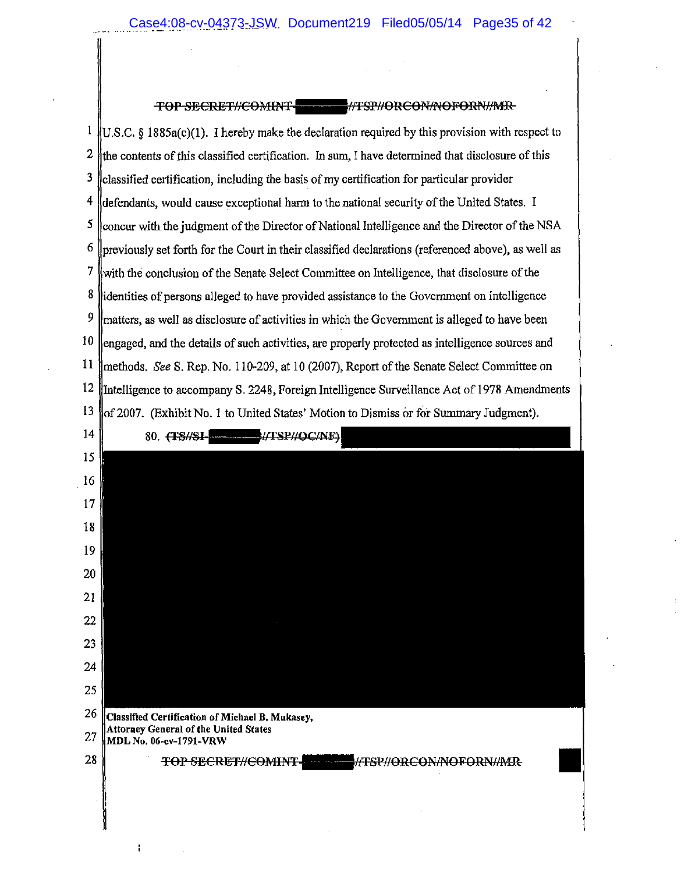#### TOP SECRET//COMINT-**-#TSP#ORCONANOFORN#MIR**

 $\mathbf{1}$  $(0.5.C. § 1885a(c)(1))$ . I hereby make the declaration required by this provision with respect to 2 the contents of this classified certification. In sum, I have determined that disclosure of this  $3$  classified certification, including the basis of my certification for particular provider  $4$  defendants, would cause exceptional harm to the national security of the United States. I <sup>5</sup> concur with the judgment of the Director of National Intelligence and the Director of the NSA  $6 \parallel$ previously set forth for the Court in their classified declarations (referenced above), as well as 7 with the conclusion of the Senate Select Committee on Intelligence, that disclosure of the 8 didentities of persons alleged to have provided assistance to the Government on intelligence  $9 \text{ l}$  matters, as well as disclosure of activities in which the Government is alleged to have been  $10$  sengaged, and the details of such activities, are properly protected as intelligence sources and 11 | methods, See S. Rep. No. 110-209, at 10 (2007), Report of the Senate Select Committee on 12 Intelligence to accompany S. 2248, Foreign Intelligence Surveillance Act of 1978 Amendments 13 (Exhibit No.1 to United States' Motion to Dismiss or for Summary Judgment).

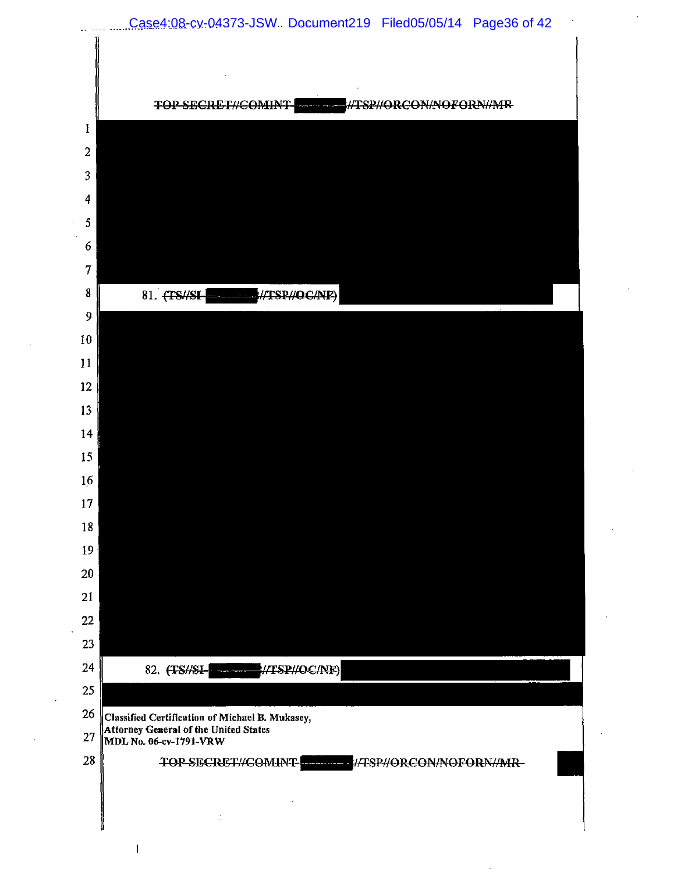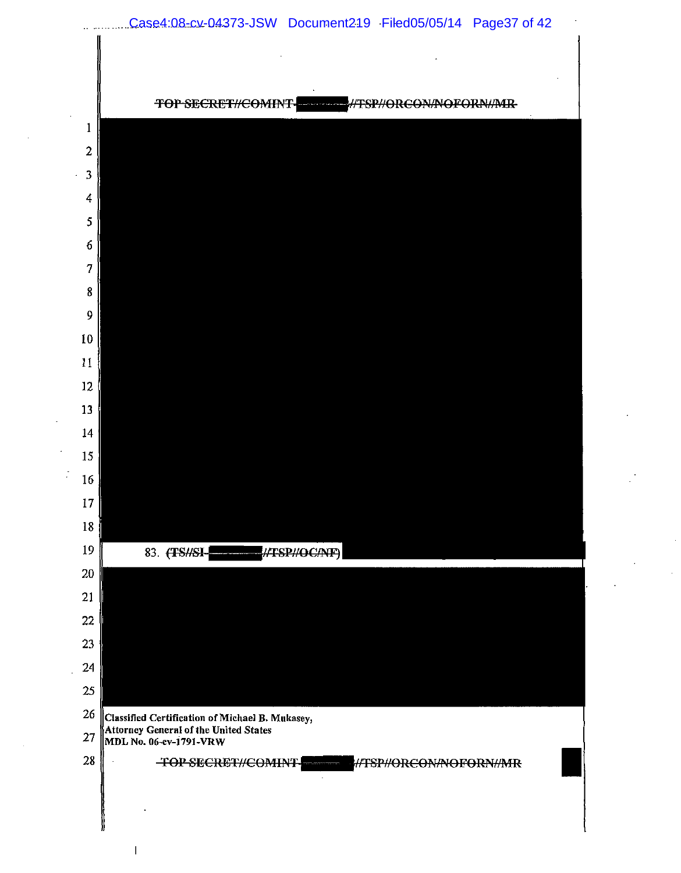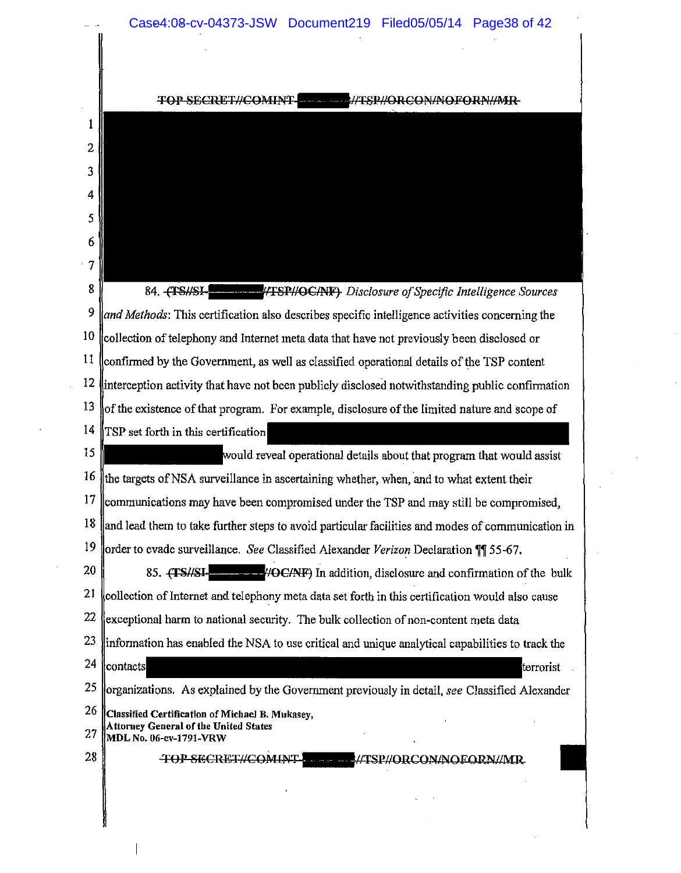|                | Case4:08-cv-04373-JSW Document219 Filed05/05/14 Page38 of 42                                     |  |
|----------------|--------------------------------------------------------------------------------------------------|--|
|                |                                                                                                  |  |
|                |                                                                                                  |  |
|                | وتصدحا الخصار فمرض                                                                               |  |
|                |                                                                                                  |  |
| 2              |                                                                                                  |  |
| 3              |                                                                                                  |  |
| 4              |                                                                                                  |  |
| 5              |                                                                                                  |  |
| 6              |                                                                                                  |  |
| $\overline{7}$ |                                                                                                  |  |
| 8              | <b>THE THE AVE AVEY Disclosure of Specific Intelligence Sources</b><br>84. TSHSI-                |  |
| 9              | and Methods: This certification also describes specific intelligence activities concerning the   |  |
| 10             | collection of telephony and Internet meta data that have not previously been disclosed or        |  |
| $\mathbf{11}$  | confirmed by the Government, as well as classified operational details of the TSP content        |  |
| 12             | interception activity that have not been publicly disclosed notwithstanding public confirmation  |  |
| 13             | of the existence of that program. For example, disclosure of the limited nature and scope of     |  |
| 14             | TSP set forth in this certification                                                              |  |
| 15             | would reveal operational details about that program that would assist                            |  |
| 16             | the targets of NSA surveillance in ascertaining whether, when, and to what extent their          |  |
| 17             | communications may have been compromised under the TSP and may still be compromised,             |  |
| 18             | and lead them to take further steps to avoid particular facilities and modes of communication in |  |
| 19             | order to evade surveillance. See Classified Alexander Verizon Declaration ¶¶ 55-67.              |  |
| 20             | 85. HTS#SI-<br>HOC/NF) In addition, disclosure and confirmation of the bulk                      |  |
| 21             | collection of Internet and telephony meta data set forth in this certification would also cause  |  |
| 22             | exceptional harm to national security. The bulk collection of non-content meta data              |  |
| 23             | information has enabled the NSA to use critical and unique analytical capabilities to track the  |  |
| 24             | contacts <br>terrorist                                                                           |  |
| 25             | organizations. As explained by the Government previously in detail, see Classified Alexander     |  |
| 26             | Classified Certification of Michael B. Mukasey,<br>Attorney General of the United States         |  |
| 27             | MDL No. 06-cv-1791-VRW                                                                           |  |
| 28             | <b>TOP SECRET//COMINT-</b><br>//TSP//ORCON/NOFORN//MR<br>المسار المترابط المترا                  |  |
|                |                                                                                                  |  |
|                |                                                                                                  |  |
|                |                                                                                                  |  |

 $\sim 10^{-1}$ 

 $\begin{array}{c} \hline \end{array}$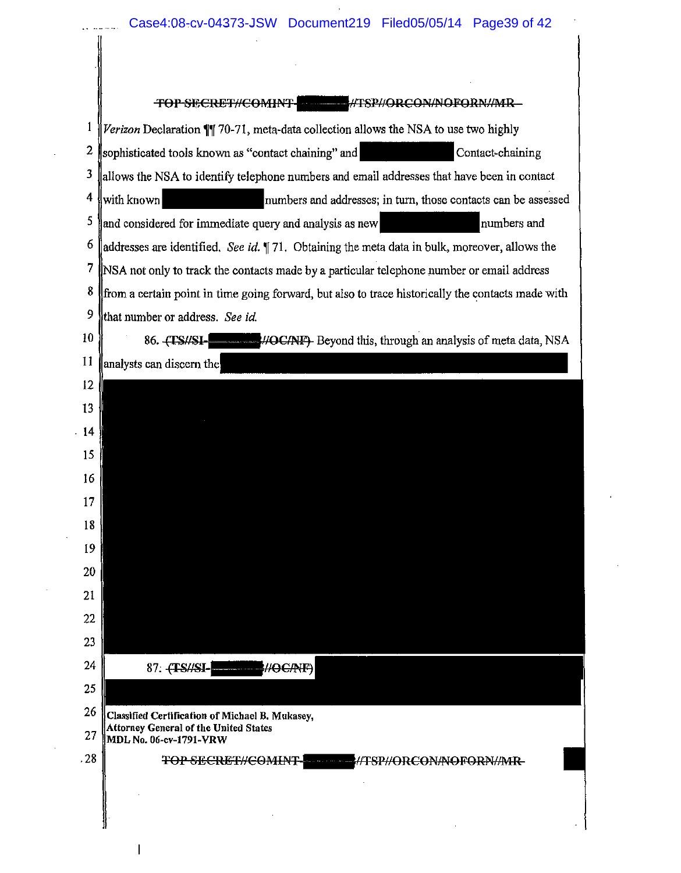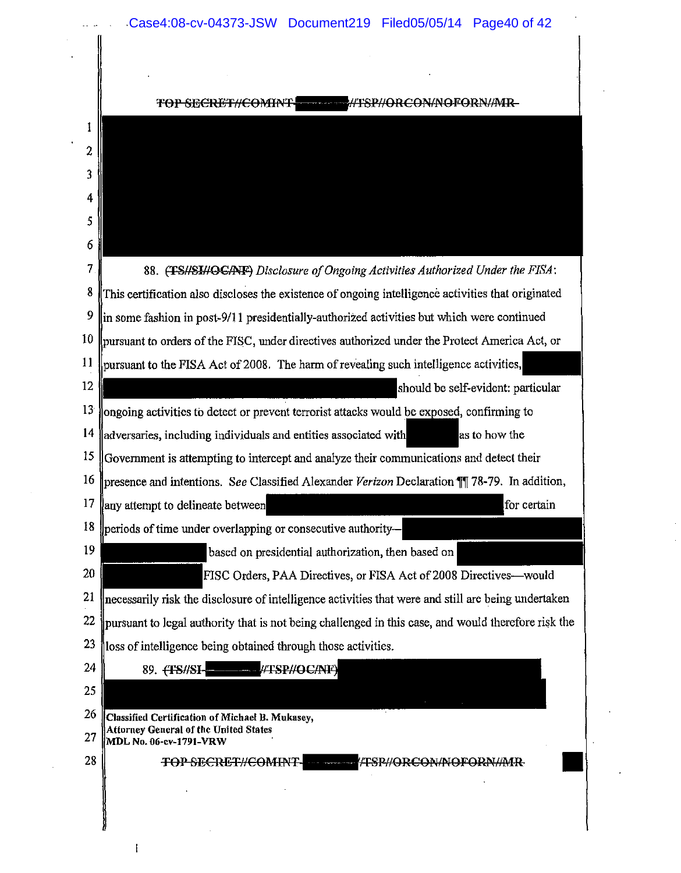|                 | TOP SECRET//COMINT!<br><b>WISP//ORCON/NOFORN/MR-</b>                                                                      |
|-----------------|---------------------------------------------------------------------------------------------------------------------------|
|                 |                                                                                                                           |
|                 |                                                                                                                           |
|                 |                                                                                                                           |
| 4               |                                                                                                                           |
|                 |                                                                                                                           |
|                 |                                                                                                                           |
|                 | 88. (TSHSIHOGANF) Disclosure of Ongoing Activities Authorized Under the FISA:                                             |
|                 | This certification also discloses the existence of ongoing intelligence activities that originated                        |
| 9               | in some fashion in post-9/11 presidentially-authorized activities but which were continued                                |
| 10              | pursuant to orders of the FISC, under directives authorized under the Protect America Act, or                             |
|                 | pursuant to the FISA Act of 2008. The harm of revealing such intelligence activities,                                     |
| 12              | should be self-evident: particular                                                                                        |
| 13 <sup>′</sup> | ongoing activities to detect or prevent terrorist attacks would be exposed, confirming to                                 |
| 14              | adversaries, including individuals and entities associated with<br>as to how the                                          |
| 15              | Government is attempting to intercept and analyze their communications and detect their                                   |
| 16              | presence and intentions. See Classified Alexander Verizon Declaration 11 78-79. In addition,                              |
| 17              | for certain<br>any attempt to delineate between                                                                           |
| 18              | periods of time under overlapping or consecutive authority-                                                               |
| 19              | based on presidential authorization, then based on                                                                        |
| 20              | FISC Orders, PAA Directives, or FISA Act of 2008 Directives—would                                                         |
| 21              | necessarily risk the disclosure of intelligence activities that were and still are being undertaken                       |
| 22              | pursuant to legal authority that is not being challenged in this case, and would therefore risk the                       |
| 23              | loss of intelligence being obtained through those activities.                                                             |
| 24              | - /TSP//OC/NF)<br>89. (TS//SI-                                                                                            |
| 25              |                                                                                                                           |
| 26<br>27        | Classified Certification of Michael B. Mukasey,<br><b>Attorney General of the United States</b><br>MDL No. 06-cv-1791-VRW |
| 28              | TOP SECRET//COMINT-<br><b>FERHORCONAIGFORN/AIR</b>                                                                        |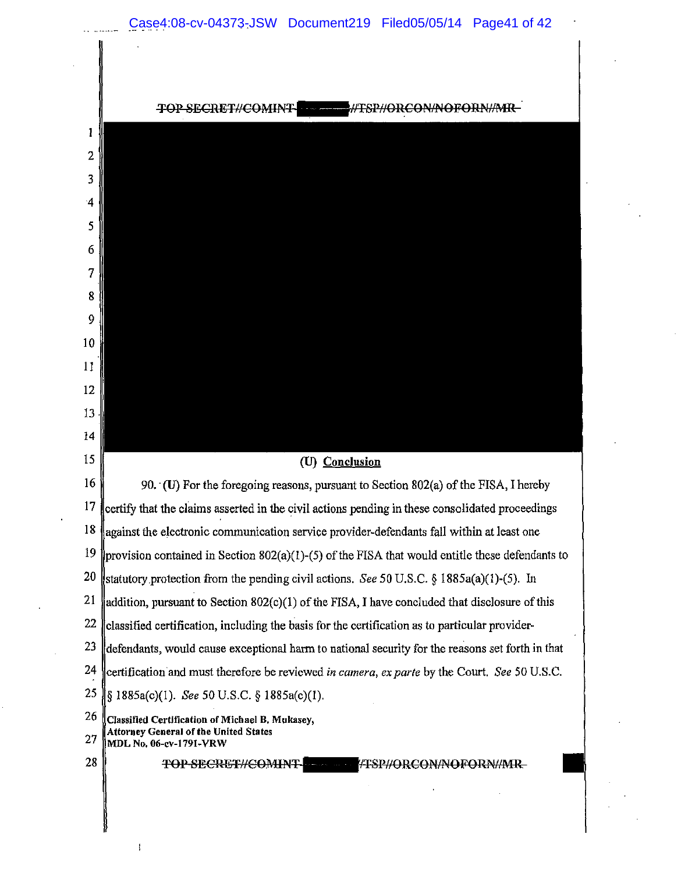**TOP SECRET//COMINT-EXAMPLE AT SPHORE ON/NOFORNIARE**  $\mathbf{1}$ 2 3 4 5 6 7 8 9 10 II 12 13 14  $15 \parallel$  (U) Conclusion 16 90. (U) For the foregoing reasons, pursuant to Section 802(a) of the FISA, I hereby  $17$  lectify that the claims asserted in the civil actions pending in these consolidated proceedings  $18$  against the electronic communication service provider-defendants fall within at least one 19 provision contained in Section 802(a)(1)-(5) of the FISA that would entitle these defendants to 20 stratutory protection from the pending civil actions. *See* 50 U.S.C. § 1885a(a)(1)-(5). In 21 addition, pursuant to Section 802(c)(1) of the FISA, I have concluded that disclosure of this 22 classified certification, including the basis for the certification as to particular provider- $23$  defendants, would cause exceptional harm to national security for the reasons set forth in that 24 certification and must therefore be reviewed *in camera, ex parte* by the Court. *See* 50 U.S.C. 25 1885a(c)(l). *See* 50 U.S.C. § 1885a(c)(l).  $26$  Classified Certification of Michael B. Mukasey, Attorney General of the United States 27 MDL No. 06-ev-1791-VRW 28 TOP SECRET//COMINT TESP//ORCON/NOFORN/MR

 $\overline{1}$